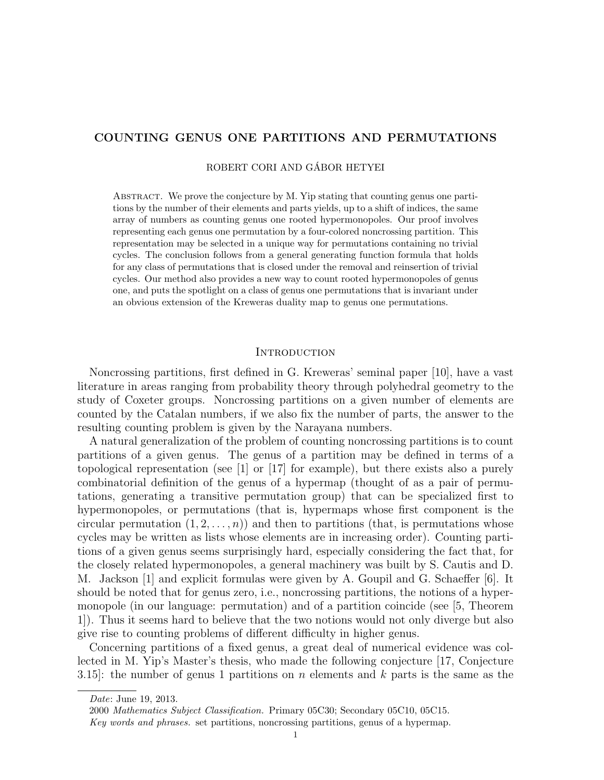# COUNTING GENUS ONE PARTITIONS AND PERMUTATIONS

ROBERT CORI AND GÁBOR HETYEI

ABSTRACT. We prove the conjecture by M. Yip stating that counting genus one partitions by the number of their elements and parts yields, up to a shift of indices, the same array of numbers as counting genus one rooted hypermonopoles. Our proof involves representing each genus one permutation by a four-colored noncrossing partition. This representation may be selected in a unique way for permutations containing no trivial cycles. The conclusion follows from a general generating function formula that holds for any class of permutations that is closed under the removal and reinsertion of trivial cycles. Our method also provides a new way to count rooted hypermonopoles of genus one, and puts the spotlight on a class of genus one permutations that is invariant under an obvious extension of the Kreweras duality map to genus one permutations.

# **INTRODUCTION**

Noncrossing partitions, first defined in G. Kreweras' seminal paper [10], have a vast literature in areas ranging from probability theory through polyhedral geometry to the study of Coxeter groups. Noncrossing partitions on a given number of elements are counted by the Catalan numbers, if we also fix the number of parts, the answer to the resulting counting problem is given by the Narayana numbers.

A natural generalization of the problem of counting noncrossing partitions is to count partitions of a given genus. The genus of a partition may be defined in terms of a topological representation (see [1] or [17] for example), but there exists also a purely combinatorial definition of the genus of a hypermap (thought of as a pair of permutations, generating a transitive permutation group) that can be specialized first to hypermonopoles, or permutations (that is, hypermaps whose first component is the circular permutation  $(1, 2, \ldots, n)$  and then to partitions (that, is permutations whose cycles may be written as lists whose elements are in increasing order). Counting partitions of a given genus seems surprisingly hard, especially considering the fact that, for the closely related hypermonopoles, a general machinery was built by S. Cautis and D. M. Jackson [1] and explicit formulas were given by A. Goupil and G. Schaeffer [6]. It should be noted that for genus zero, i.e., noncrossing partitions, the notions of a hypermonopole (in our language: permutation) and of a partition coincide (see [5, Theorem 1]). Thus it seems hard to believe that the two notions would not only diverge but also give rise to counting problems of different difficulty in higher genus.

Concerning partitions of a fixed genus, a great deal of numerical evidence was collected in M. Yip's Master's thesis, who made the following conjecture [17, Conjecture 3.15]: the number of genus 1 partitions on  $n$  elements and  $k$  parts is the same as the

Date: June 19, 2013.

<sup>2000</sup> Mathematics Subject Classification. Primary 05C30; Secondary 05C10, 05C15.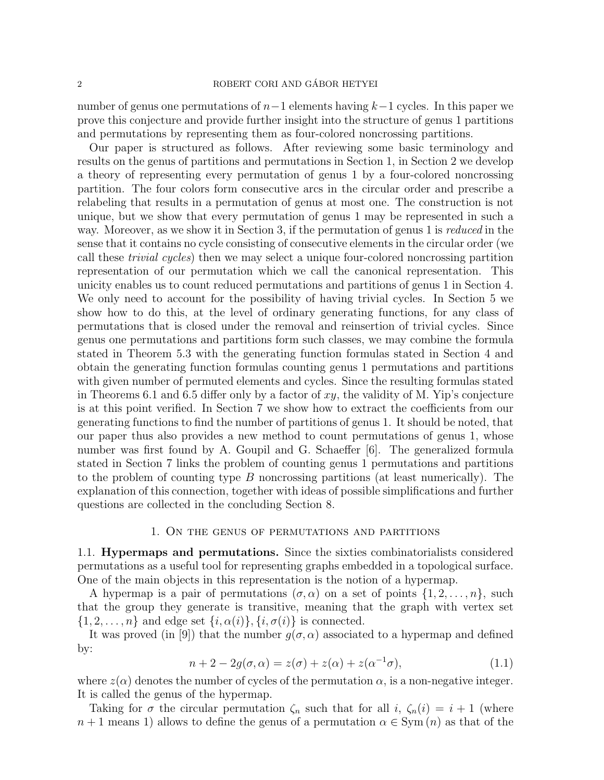### 2 ROBERT CORI AND GÁBOR HETYEI

number of genus one permutations of  $n-1$  elements having  $k-1$  cycles. In this paper we prove this conjecture and provide further insight into the structure of genus 1 partitions and permutations by representing them as four-colored noncrossing partitions.

Our paper is structured as follows. After reviewing some basic terminology and results on the genus of partitions and permutations in Section 1, in Section 2 we develop a theory of representing every permutation of genus 1 by a four-colored noncrossing partition. The four colors form consecutive arcs in the circular order and prescribe a relabeling that results in a permutation of genus at most one. The construction is not unique, but we show that every permutation of genus 1 may be represented in such a way. Moreover, as we show it in Section 3, if the permutation of genus 1 is reduced in the sense that it contains no cycle consisting of consecutive elements in the circular order (we call these trivial cycles) then we may select a unique four-colored noncrossing partition representation of our permutation which we call the canonical representation. This unicity enables us to count reduced permutations and partitions of genus 1 in Section 4. We only need to account for the possibility of having trivial cycles. In Section 5 we show how to do this, at the level of ordinary generating functions, for any class of permutations that is closed under the removal and reinsertion of trivial cycles. Since genus one permutations and partitions form such classes, we may combine the formula stated in Theorem 5.3 with the generating function formulas stated in Section 4 and obtain the generating function formulas counting genus 1 permutations and partitions with given number of permuted elements and cycles. Since the resulting formulas stated in Theorems 6.1 and 6.5 differ only by a factor of  $xy$ , the validity of M. Yip's conjecture is at this point verified. In Section 7 we show how to extract the coefficients from our generating functions to find the number of partitions of genus 1. It should be noted, that our paper thus also provides a new method to count permutations of genus 1, whose number was first found by A. Goupil and G. Schaeffer [6]. The generalized formula stated in Section 7 links the problem of counting genus 1 permutations and partitions to the problem of counting type  $B$  noncrossing partitions (at least numerically). The explanation of this connection, together with ideas of possible simplifications and further questions are collected in the concluding Section 8.

# 1. On the genus of permutations and partitions

1.1. Hypermaps and permutations. Since the sixties combinatorialists considered permutations as a useful tool for representing graphs embedded in a topological surface. One of the main objects in this representation is the notion of a hypermap.

A hypermap is a pair of permutations  $(\sigma, \alpha)$  on a set of points  $\{1, 2, \ldots, n\}$ , such that the group they generate is transitive, meaning that the graph with vertex set  $\{1, 2, \ldots, n\}$  and edge set  $\{i, \alpha(i)\}, \{i, \sigma(i)\}\$ is connected.

It was proved (in [9]) that the number  $q(\sigma, \alpha)$  associated to a hypermap and defined by:

$$
n + 2 - 2g(\sigma, \alpha) = z(\sigma) + z(\alpha) + z(\alpha^{-1}\sigma), \tag{1.1}
$$

where  $z(\alpha)$  denotes the number of cycles of the permutation  $\alpha$ , is a non-negative integer. It is called the genus of the hypermap.

Taking for  $\sigma$  the circular permutation  $\zeta_n$  such that for all i,  $\zeta_n(i) = i + 1$  (where  $n + 1$  means 1) allows to define the genus of a permutation  $\alpha \in \text{Sym}(n)$  as that of the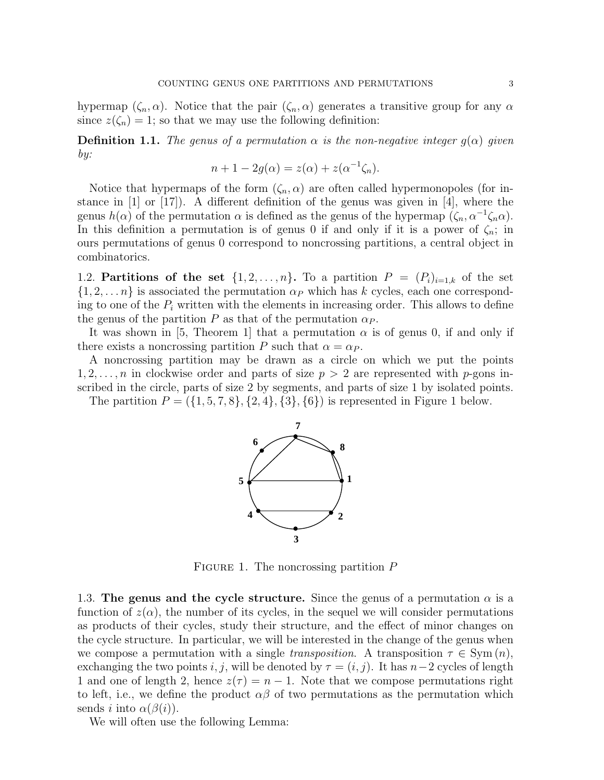hypermap  $(\zeta_n, \alpha)$ . Notice that the pair  $(\zeta_n, \alpha)$  generates a transitive group for any  $\alpha$ since  $z(\zeta_n) = 1$ ; so that we may use the following definition:

**Definition 1.1.** The genus of a permutation  $\alpha$  is the non-negative integer  $g(\alpha)$  given by:

$$
n + 1 - 2g(\alpha) = z(\alpha) + z(\alpha^{-1}\zeta_n).
$$

Notice that hypermaps of the form  $(\zeta_n, \alpha)$  are often called hypermonopoles (for instance in [1] or [17]). A different definition of the genus was given in [4], where the genus  $h(\alpha)$  of the permutation  $\alpha$  is defined as the genus of the hypermap  $(\zeta_n, \alpha^{-1}\zeta_n\alpha)$ . In this definition a permutation is of genus 0 if and only if it is a power of  $\zeta_n$ ; in ours permutations of genus 0 correspond to noncrossing partitions, a central object in combinatorics.

1.2. **Partitions of the set**  $\{1, 2, \ldots, n\}$ . To a partition  $P = (P_i)_{i=1,k}$  of the set  $\{1, 2, \ldots n\}$  is associated the permutation  $\alpha_P$  which has k cycles, each one corresponding to one of the  $P_i$  written with the elements in increasing order. This allows to define the genus of the partition P as that of the permutation  $\alpha_P$ .

It was shown in [5, Theorem 1] that a permutation  $\alpha$  is of genus 0, if and only if there exists a noncrossing partition P such that  $\alpha = \alpha_P$ .

A noncrossing partition may be drawn as a circle on which we put the points  $1, 2, \ldots, n$  in clockwise order and parts of size  $p > 2$  are represented with p-gons inscribed in the circle, parts of size 2 by segments, and parts of size 1 by isolated points.

The partition  $P = (\{1, 5, 7, 8\}, \{2, 4\}, \{3\}, \{6\})$  is represented in Figure 1 below.



FIGURE 1. The noncrossing partition  $P$ 

1.3. The genus and the cycle structure. Since the genus of a permutation  $\alpha$  is a function of  $z(\alpha)$ , the number of its cycles, in the sequel we will consider permutations as products of their cycles, study their structure, and the effect of minor changes on the cycle structure. In particular, we will be interested in the change of the genus when we compose a permutation with a single transposition. A transposition  $\tau \in \text{Sym}(n)$ , exchanging the two points i, j, will be denoted by  $\tau = (i, j)$ . It has  $n-2$  cycles of length 1 and one of length 2, hence  $z(\tau) = n - 1$ . Note that we compose permutations right to left, i.e., we define the product  $\alpha\beta$  of two permutations as the permutation which sends *i* into  $\alpha(\beta(i))$ .

We will often use the following Lemma: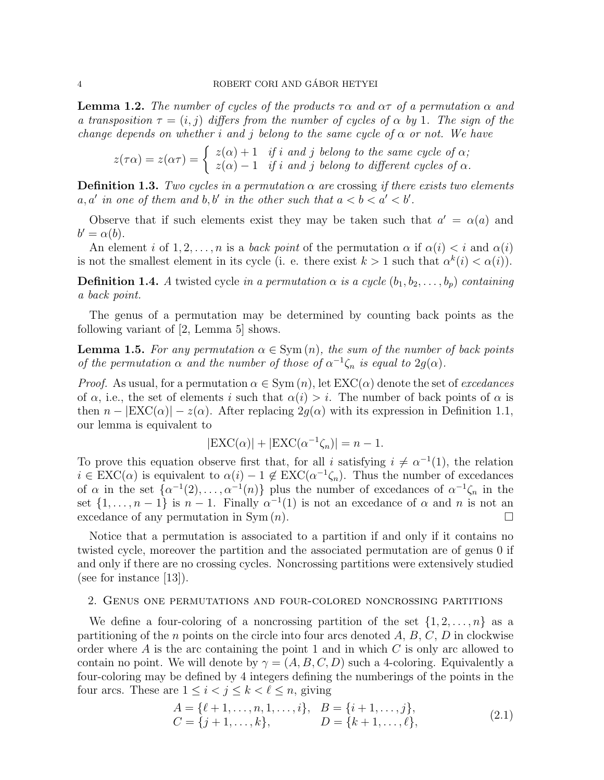**Lemma 1.2.** The number of cycles of the products  $\tau \alpha$  and  $\alpha \tau$  of a permutation  $\alpha$  and a transposition  $\tau = (i, j)$  differs from the number of cycles of  $\alpha$  by 1. The sign of the change depends on whether i and j belong to the same cycle of  $\alpha$  or not. We have

$$
z(\tau\alpha) = z(\alpha\tau) = \begin{cases} z(\alpha) + 1 & \text{if } i \text{ and } j \text{ belong to the same cycle of } \alpha; \\ z(\alpha) - 1 & \text{if } i \text{ and } j \text{ belong to different cycles of } \alpha. \end{cases}
$$

**Definition 1.3.** Two cycles in a permutation  $\alpha$  are crossing if there exists two elements  $a, a'$  in one of them and  $b, b'$  in the other such that  $a < b < a' < b'$ .

Observe that if such elements exist they may be taken such that  $a' = \alpha(a)$  and  $b' = \alpha(b).$ 

An element i of  $1, 2, \ldots, n$  is a *back point* of the permutation  $\alpha$  if  $\alpha(i) < i$  and  $\alpha(i)$ is not the smallest element in its cycle (i. e. there exist  $k > 1$  such that  $\alpha^k(i) < \alpha(i)$ ).

**Definition 1.4.** A twisted cycle in a permutation  $\alpha$  is a cycle  $(b_1, b_2, \ldots, b_p)$  containing a back point.

The genus of a permutation may be determined by counting back points as the following variant of [2, Lemma 5] shows.

**Lemma 1.5.** For any permutation  $\alpha \in \text{Sym}(n)$ , the sum of the number of back points of the permutation  $\alpha$  and the number of those of  $\alpha^{-1}\zeta_n$  is equal to  $2g(\alpha)$ .

*Proof.* As usual, for a permutation  $\alpha \in \text{Sym}(n)$ , let  $\text{EXC}(\alpha)$  denote the set of *excedances* of  $\alpha$ , i.e., the set of elements i such that  $\alpha(i) > i$ . The number of back points of  $\alpha$  is then  $n - |EXC(\alpha)| - z(\alpha)$ . After replacing  $2g(\alpha)$  with its expression in Definition 1.1, our lemma is equivalent to

$$
|\text{EXC}(\alpha)| + |\text{EXC}(\alpha^{-1}\zeta_n)| = n - 1.
$$

To prove this equation observe first that, for all i satisfying  $i \neq \alpha^{-1}(1)$ , the relation  $i \in EXC(\alpha)$  is equivalent to  $\alpha(i) - 1 \notin EXC(\alpha^{-1}\zeta_n)$ . Thus the number of excedances of  $\alpha$  in the set  $\{\alpha^{-1}(2), \ldots, \alpha^{-1}(n)\}\$  plus the number of excedances of  $\alpha^{-1}\zeta_n$  in the set  $\{1, \ldots, n-1\}$  is  $n-1$ . Finally  $\alpha^{-1}(1)$  is not an excedance of  $\alpha$  and  $n$  is not an excedance of any permutation in Sym  $(n)$ .

Notice that a permutation is associated to a partition if and only if it contains no twisted cycle, moreover the partition and the associated permutation are of genus 0 if and only if there are no crossing cycles. Noncrossing partitions were extensively studied (see for instance  $|13|$ ).

### 2. Genus one permutations and four-colored noncrossing partitions

We define a four-coloring of a noncrossing partition of the set  $\{1, 2, \ldots, n\}$  as a partitioning of the *n* points on the circle into four arcs denoted  $A, B, C, D$  in clockwise order where  $A$  is the arc containing the point 1 and in which  $C$  is only arc allowed to contain no point. We will denote by  $\gamma = (A, B, C, D)$  such a 4-coloring. Equivalently a four-coloring may be defined by 4 integers defining the numberings of the points in the four arcs. These are  $1 \leq i < j \leq k < \ell \leq n$ , giving

$$
A = \{\ell + 1, \dots, n, 1, \dots, i\}, \quad B = \{i + 1, \dots, j\},
$$
  
\n
$$
C = \{j + 1, \dots, k\}, \quad D = \{k + 1, \dots, \ell\},
$$
\n(2.1)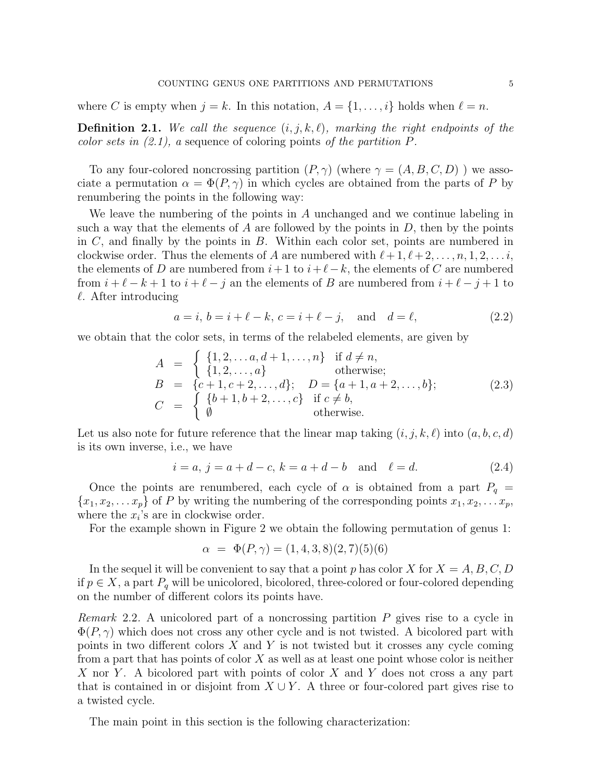where C is empty when  $j = k$ . In this notation,  $A = \{1, \ldots, i\}$  holds when  $\ell = n$ .

**Definition 2.1.** We call the sequence  $(i, j, k, \ell)$ , marking the right endpoints of the color sets in  $(2.1)$ , a sequence of coloring points of the partition P.

To any four-colored noncrossing partition  $(P, \gamma)$  (where  $\gamma = (A, B, C, D)$ ) we associate a permutation  $\alpha = \Phi(P, \gamma)$  in which cycles are obtained from the parts of P by renumbering the points in the following way:

We leave the numbering of the points in A unchanged and we continue labeling in such a way that the elements of A are followed by the points in  $D$ , then by the points in  $C$ , and finally by the points in  $B$ . Within each color set, points are numbered in clockwise order. Thus the elements of A are numbered with  $\ell + 1, \ell + 2, \ldots, n, 1, 2, \ldots i$ , the elements of D are numbered from  $i+1$  to  $i+\ell-k$ , the elements of C are numbered from  $i + \ell - k + 1$  to  $i + \ell - j$  an the elements of B are numbered from  $i + \ell - j + 1$  to  $\ell$ . After introducing

$$
a = i, b = i + \ell - k, c = i + \ell - j, \text{ and } d = \ell,
$$
 (2.2)

we obtain that the color sets, in terms of the relabeled elements, are given by

$$
A = \begin{cases} \{1, 2, ..., a, d+1, ..., n\} & \text{if } d \neq n, \\ \{1, 2, ..., a\} & \text{otherwise;} \\ B = \{c+1, c+2, ..., d\}; & D = \{a+1, a+2, ..., b\}; \\ C = \begin{cases} \{b+1, b+2, ..., c\} & \text{if } c \neq b, \\ \emptyset & \text{otherwise.} \end{cases} \end{cases}
$$
(2.3)

Let us also note for future reference that the linear map taking  $(i, j, k, \ell)$  into  $(a, b, c, d)$ is its own inverse, i.e., we have

$$
i = a, j = a + d - c, k = a + d - b
$$
 and  $\ell = d.$  (2.4)

Once the points are renumbered, each cycle of  $\alpha$  is obtained from a part  $P_q =$  ${x_1, x_2, \ldots x_p}$  of P by writing the numbering of the corresponding points  $x_1, x_2, \ldots x_p$ , where the  $x_i$ 's are in clockwise order.

For the example shown in Figure 2 we obtain the following permutation of genus 1:

$$
\alpha = \Phi(P, \gamma) = (1, 4, 3, 8)(2, 7)(5)(6)
$$

In the sequel it will be convenient to say that a point p has color X for  $X = A, B, C, D$ if  $p \in X$ , a part  $P_q$  will be unicolored, bicolored, three-colored or four-colored depending on the number of different colors its points have.

*Remark* 2.2. A unicolored part of a noncrossing partition  $P$  gives rise to a cycle in  $\Phi(P,\gamma)$  which does not cross any other cycle and is not twisted. A bicolored part with points in two different colors  $X$  and  $Y$  is not twisted but it crosses any cycle coming from a part that has points of color X as well as at least one point whose color is neither X nor Y. A bicolored part with points of color X and Y does not cross a any part that is contained in or disjoint from  $X \cup Y$ . A three or four-colored part gives rise to a twisted cycle.

The main point in this section is the following characterization: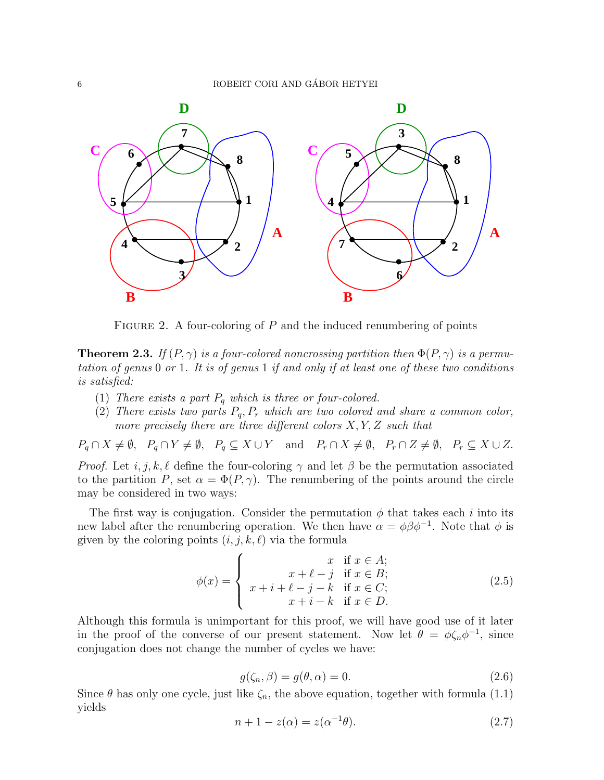

FIGURE 2. A four-coloring of  $P$  and the induced renumbering of points

**Theorem 2.3.** If  $(P, \gamma)$  is a four-colored noncrossing partition then  $\Phi(P, \gamma)$  is a permutation of genus 0 or 1. It is of genus 1 if and only if at least one of these two conditions is satisfied:

- (1) There exists a part  $P_q$  which is three or four-colored.
- (2) There exists two parts  $P_q$ ,  $P_r$  which are two colored and share a common color, more precisely there are three different colors  $X, Y, Z$  such that

 $P_q \cap X \neq \emptyset$ ,  $P_q \cap Y \neq \emptyset$ ,  $P_q \subseteq X \cup Y$  and  $P_r \cap X \neq \emptyset$ ,  $P_r \cap Z \neq \emptyset$ ,  $P_r \subseteq X \cup Z$ .

*Proof.* Let  $i, j, k, \ell$  define the four-coloring  $\gamma$  and let  $\beta$  be the permutation associated to the partition P, set  $\alpha = \Phi(P, \gamma)$ . The renumbering of the points around the circle may be considered in two ways:

The first way is conjugation. Consider the permutation  $\phi$  that takes each i into its new label after the renumbering operation. We then have  $\alpha = \phi \beta \phi^{-1}$ . Note that  $\phi$  is given by the coloring points  $(i, j, k, \ell)$  via the formula

$$
\phi(x) = \begin{cases}\n x & \text{if } x \in A; \\
x + \ell - j & \text{if } x \in B; \\
x + i + \ell - j - k & \text{if } x \in C; \\
x + i - k & \text{if } x \in D.\n\end{cases}
$$
\n(2.5)

Although this formula is unimportant for this proof, we will have good use of it later in the proof of the converse of our present statement. Now let  $\theta = \phi \zeta_n \phi^{-1}$ , since conjugation does not change the number of cycles we have:

$$
g(\zeta_n, \beta) = g(\theta, \alpha) = 0. \tag{2.6}
$$

Since  $\theta$  has only one cycle, just like  $\zeta_n$ , the above equation, together with formula (1.1) yields

$$
n + 1 - z(\alpha) = z(\alpha^{-1}\theta). \tag{2.7}
$$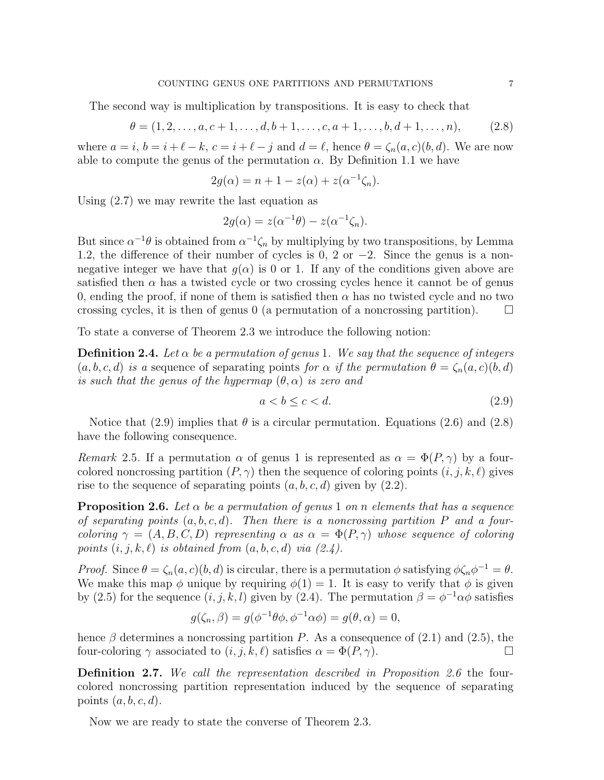#### COUNTING GENUS ONE PARTITIONS AND PERMUTATIONS 7

The second way is multiplication by transpositions. It is easy to check that

$$
\theta = (1, 2, \dots, a, c+1, \dots, d, b+1, \dots, c, a+1, \dots, b, d+1, \dots, n),
$$
 (2.8)

where  $a = i$ ,  $b = i + \ell - k$ ,  $c = i + \ell - j$  and  $d = \ell$ , hence  $\theta = \zeta_n(a, c)(b, d)$ . We are now able to compute the genus of the permutation  $\alpha$ . By Definition 1.1 we have

$$
2g(\alpha) = n + 1 - z(\alpha) + z(\alpha^{-1}\zeta_n).
$$

Using (2.7) we may rewrite the last equation as

$$
2g(\alpha) = z(\alpha^{-1}\theta) - z(\alpha^{-1}\zeta_n).
$$

But since  $\alpha^{-1}\theta$  is obtained from  $\alpha^{-1}\zeta_n$  by multiplying by two transpositions, by Lemma 1.2, the difference of their number of cycles is 0, 2 or  $-2$ . Since the genus is a nonnegative integer we have that  $g(\alpha)$  is 0 or 1. If any of the conditions given above are satisfied then  $\alpha$  has a twisted cycle or two crossing cycles hence it cannot be of genus 0, ending the proof, if none of them is satisfied then  $\alpha$  has no twisted cycle and no two crossing cycles, it is then of genus 0 (a permutation of a noncrossing partition).  $\Box$ 

To state a converse of Theorem 2.3 we introduce the following notion:

**Definition 2.4.** Let  $\alpha$  be a permutation of genus 1. We say that the sequence of integers  $(a, b, c, d)$  is a sequence of separating points for  $\alpha$  if the permutation  $\theta = \zeta_n(a, c)(b, d)$ is such that the genus of the hypermap  $(\theta, \alpha)$  is zero and

$$
a < b \le c < d. \tag{2.9}
$$

Notice that (2.9) implies that  $\theta$  is a circular permutation. Equations (2.6) and (2.8) have the following consequence.

Remark 2.5. If a permutation  $\alpha$  of genus 1 is represented as  $\alpha = \Phi(P, \gamma)$  by a fourcolored noncrossing partition  $(P, \gamma)$  then the sequence of coloring points  $(i, j, k, \ell)$  gives rise to the sequence of separating points  $(a, b, c, d)$  given by  $(2.2)$ .

**Proposition 2.6.** Let  $\alpha$  be a permutation of genus 1 on n elements that has a sequence of separating points  $(a, b, c, d)$ . Then there is a noncrossing partition P and a fourcoloring  $\gamma = (A, B, C, D)$  representing  $\alpha$  as  $\alpha = \Phi(P, \gamma)$  whose sequence of coloring points  $(i, j, k, \ell)$  is obtained from  $(a, b, c, d)$  via  $(2.4)$ .

Proof. Since  $\theta = \zeta_n(a,c)(b,d)$  is circular, there is a permutation  $\phi$  satisfying  $\phi \zeta_n \phi^{-1} = \theta$ . We make this map  $\phi$  unique by requiring  $\phi(1) = 1$ . It is easy to verify that  $\phi$  is given by (2.5) for the sequence  $(i, j, k, l)$  given by (2.4). The permutation  $\beta = \phi^{-1} \alpha \phi$  satisfies

$$
g(\zeta_n, \beta) = g(\phi^{-1}\theta\phi, \phi^{-1}\alpha\phi) = g(\theta, \alpha) = 0,
$$

hence  $\beta$  determines a noncrossing partition P. As a consequence of (2.1) and (2.5), the four-coloring  $\gamma$  associated to  $(i, j, k, \ell)$  satisfies  $\alpha = \Phi(P, \gamma)$ .

Definition 2.7. We call the representation described in Proposition 2.6 the fourcolored noncrossing partition representation induced by the sequence of separating points  $(a, b, c, d)$ .

Now we are ready to state the converse of Theorem 2.3.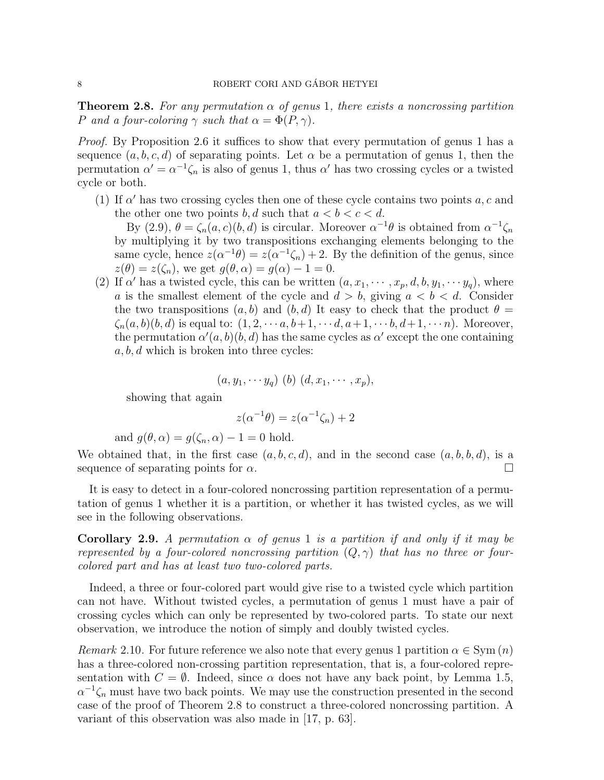**Theorem 2.8.** For any permutation  $\alpha$  of genus 1, there exists a noncrossing partition P and a four-coloring  $\gamma$  such that  $\alpha = \Phi(P, \gamma)$ .

Proof. By Proposition 2.6 it suffices to show that every permutation of genus 1 has a sequence  $(a, b, c, d)$  of separating points. Let  $\alpha$  be a permutation of genus 1, then the permutation  $\alpha' = \alpha^{-1} \zeta_n$  is also of genus 1, thus  $\alpha'$  has two crossing cycles or a twisted cycle or both.

(1) If  $\alpha'$  has two crossing cycles then one of these cycle contains two points  $a, c$  and the other one two points b, d such that  $a < b < c < d$ .

By (2.9),  $\theta = \zeta_n(a,c)(b,d)$  is circular. Moreover  $\alpha^{-1}\theta$  is obtained from  $\alpha^{-1}\zeta_n$ by multiplying it by two transpositions exchanging elements belonging to the same cycle, hence  $z(\alpha^{-1}\theta) = z(\alpha^{-1}\zeta_n) + 2$ . By the definition of the genus, since  $z(\theta) = z(\zeta_n)$ , we get  $g(\theta, \alpha) = g(\alpha) - 1 = 0$ .

(2) If  $\alpha'$  has a twisted cycle, this can be written  $(a, x_1, \dots, x_p, d, b, y_1, \dots, y_q)$ , where a is the smallest element of the cycle and  $d > b$ , giving  $a < b < d$ . Consider the two transpositions  $(a, b)$  and  $(b, d)$  It easy to check that the product  $\theta =$  $\zeta_n(a, b)(b, d)$  is equal to:  $(1, 2, \cdots a, b+1, \cdots d, a+1, \cdots b, d+1, \cdots n)$ . Moreover, the permutation  $\alpha'(a, b)(b, d)$  has the same cycles as  $\alpha'$  except the one containing  $a, b, d$  which is broken into three cycles:

$$
(a,y_1,\cdots y_q) (b) (d,x_1,\cdots,x_p),
$$

showing that again

$$
z(\alpha^{-1}\theta) = z(\alpha^{-1}\zeta_n) + 2
$$

and 
$$
g(\theta, \alpha) = g(\zeta_n, \alpha) - 1 = 0
$$
 hold.

We obtained that, in the first case  $(a, b, c, d)$ , and in the second case  $(a, b, b, d)$ , is a sequence of separating points for  $\alpha$ .

It is easy to detect in a four-colored noncrossing partition representation of a permutation of genus 1 whether it is a partition, or whether it has twisted cycles, as we will see in the following observations.

Corollary 2.9. A permutation  $\alpha$  of genus 1 is a partition if and only if it may be represented by a four-colored noncrossing partition  $(Q, \gamma)$  that has no three or fourcolored part and has at least two two-colored parts.

Indeed, a three or four-colored part would give rise to a twisted cycle which partition can not have. Without twisted cycles, a permutation of genus 1 must have a pair of crossing cycles which can only be represented by two-colored parts. To state our next observation, we introduce the notion of simply and doubly twisted cycles.

Remark 2.10. For future reference we also note that every genus 1 partition  $\alpha \in \text{Sym}(n)$ has a three-colored non-crossing partition representation, that is, a four-colored representation with  $C = \emptyset$ . Indeed, since  $\alpha$  does not have any back point, by Lemma 1.5,  $\alpha^{-1}\zeta_n$  must have two back points. We may use the construction presented in the second case of the proof of Theorem 2.8 to construct a three-colored noncrossing partition. A variant of this observation was also made in [17, p. 63].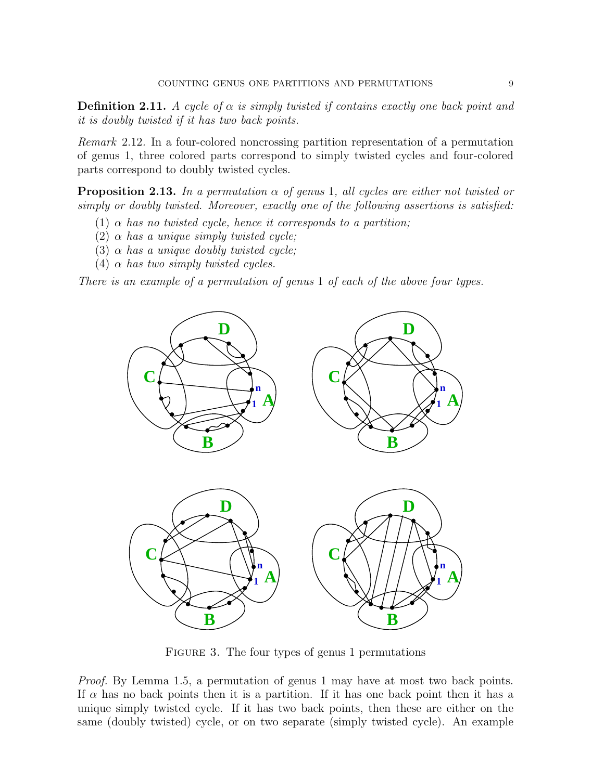**Definition 2.11.** A cycle of  $\alpha$  is simply twisted if contains exactly one back point and it is doubly twisted if it has two back points.

Remark 2.12. In a four-colored noncrossing partition representation of a permutation of genus 1, three colored parts correspond to simply twisted cycles and four-colored parts correspond to doubly twisted cycles.

**Proposition 2.13.** In a permutation  $\alpha$  of genus 1, all cycles are either not twisted or simply or doubly twisted. Moreover, exactly one of the following assertions is satisfied:

- (1)  $\alpha$  has no twisted cycle, hence it corresponds to a partition;
- (2)  $\alpha$  has a unique simply twisted cycle;
- (3)  $\alpha$  has a unique doubly twisted cycle;
- (4)  $\alpha$  has two simply twisted cycles.

There is an example of a permutation of genus 1 of each of the above four types.



FIGURE 3. The four types of genus 1 permutations

Proof. By Lemma 1.5, a permutation of genus 1 may have at most two back points. If  $\alpha$  has no back points then it is a partition. If it has one back point then it has a unique simply twisted cycle. If it has two back points, then these are either on the same (doubly twisted) cycle, or on two separate (simply twisted cycle). An example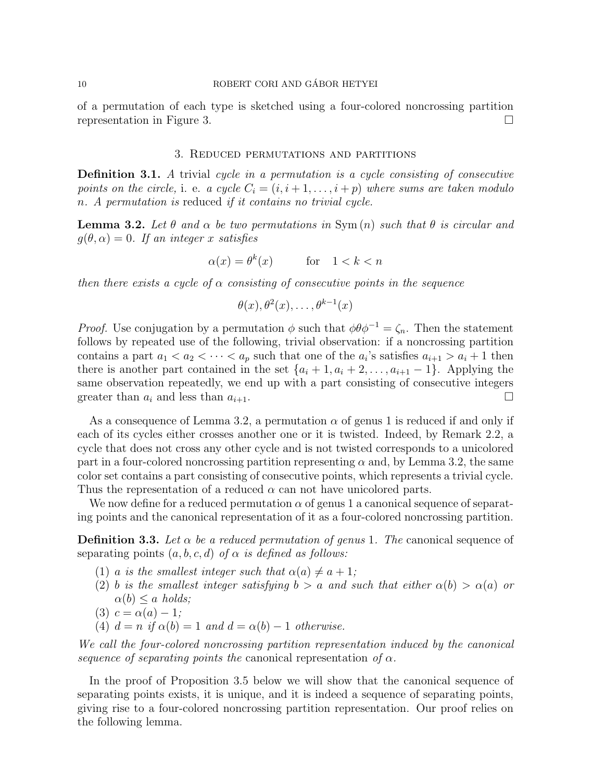of a permutation of each type is sketched using a four-colored noncrossing partition representation in Figure 3.

# 3. Reduced permutations and partitions

Definition 3.1. A trivial cycle in a permutation is a cycle consisting of consecutive points on the circle, i. e. a cycle  $C_i = (i, i+1, \ldots, i+p)$  where sums are taken modulo n. A permutation is reduced if it contains no trivial cycle.

**Lemma 3.2.** Let  $\theta$  and  $\alpha$  be two permutations in Sym $(n)$  such that  $\theta$  is circular and  $q(\theta, \alpha) = 0$ . If an integer x satisfies

$$
\alpha(x) = \theta^k(x) \qquad \text{for} \quad 1 < k < n
$$

then there exists a cycle of  $\alpha$  consisting of consecutive points in the sequence

$$
\theta(x), \theta^2(x), \ldots, \theta^{k-1}(x)
$$

*Proof.* Use conjugation by a permutation  $\phi$  such that  $\phi \theta \phi^{-1} = \zeta_n$ . Then the statement follows by repeated use of the following, trivial observation: if a noncrossing partition contains a part  $a_1 < a_2 < \cdots < a_p$  such that one of the  $a_i$ 's satisfies  $a_{i+1} > a_i + 1$  then there is another part contained in the set  $\{a_i + 1, a_i + 2, \ldots, a_{i+1} - 1\}$ . Applying the same observation repeatedly, we end up with a part consisting of consecutive integers greater than  $a_i$  and less than  $a_{i+1}$ .

As a consequence of Lemma 3.2, a permutation  $\alpha$  of genus 1 is reduced if and only if each of its cycles either crosses another one or it is twisted. Indeed, by Remark 2.2, a cycle that does not cross any other cycle and is not twisted corresponds to a unicolored part in a four-colored noncrossing partition representing  $\alpha$  and, by Lemma 3.2, the same color set contains a part consisting of consecutive points, which represents a trivial cycle. Thus the representation of a reduced  $\alpha$  can not have unicolored parts.

We now define for a reduced permutation  $\alpha$  of genus 1 a canonical sequence of separating points and the canonical representation of it as a four-colored noncrossing partition.

**Definition 3.3.** Let  $\alpha$  be a reduced permutation of genus 1. The canonical sequence of separating points  $(a, b, c, d)$  of  $\alpha$  is defined as follows:

- (1) a is the smallest integer such that  $\alpha(a) \neq a + 1$ ;
- (2) b is the smallest integer satisfying  $b > a$  and such that either  $\alpha(b) > \alpha(a)$  or  $\alpha(b) \leq a \text{ holds};$
- (3)  $c = \alpha(a) 1;$
- (4)  $d = n$  if  $\alpha(b) = 1$  and  $d = \alpha(b) 1$  otherwise.

We call the four-colored noncrossing partition representation induced by the canonical sequence of separating points the canonical representation of  $\alpha$ .

In the proof of Proposition 3.5 below we will show that the canonical sequence of separating points exists, it is unique, and it is indeed a sequence of separating points, giving rise to a four-colored noncrossing partition representation. Our proof relies on the following lemma.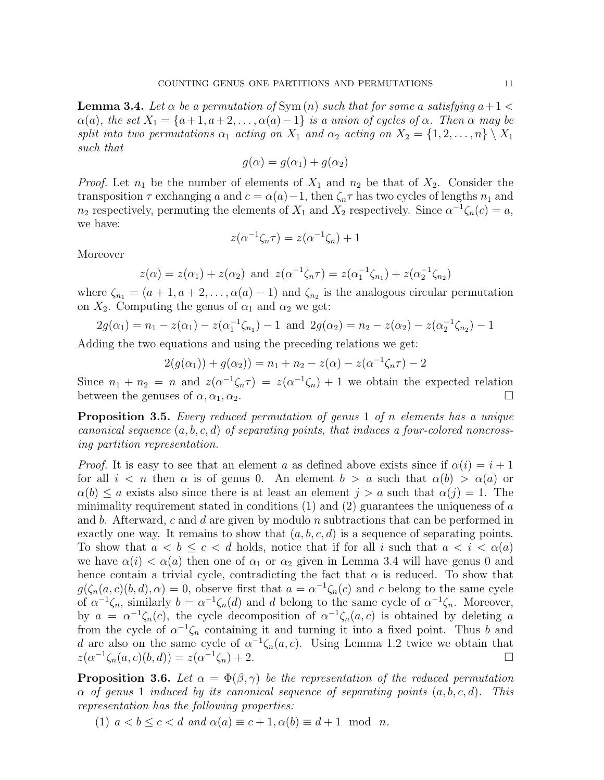**Lemma 3.4.** Let  $\alpha$  be a permutation of Sym  $(n)$  such that for some a satisfying  $a+1$  $\alpha(a)$ , the set  $X_1 = \{a+1, a+2, \ldots, \alpha(a)-1\}$  is a union of cycles of  $\alpha$ . Then  $\alpha$  may be split into two permutations  $\alpha_1$  acting on  $X_1$  and  $\alpha_2$  acting on  $X_2 = \{1, 2, \ldots, n\} \setminus X_1$ such that

$$
g(\alpha) = g(\alpha_1) + g(\alpha_2)
$$

*Proof.* Let  $n_1$  be the number of elements of  $X_1$  and  $n_2$  be that of  $X_2$ . Consider the transposition  $\tau$  exchanging a and  $c = \alpha(a) - 1$ , then  $\zeta_n \tau$  has two cycles of lengths  $n_1$  and  $n_2$  respectively, permuting the elements of  $X_1$  and  $X_2$  respectively. Since  $\alpha^{-1}\zeta_n(c) = a$ , we have:

$$
z(\alpha^{-1}\zeta_n\tau) = z(\alpha^{-1}\zeta_n) + 1
$$

Moreover

$$
z(\alpha) = z(\alpha_1) + z(\alpha_2)
$$
 and  $z(\alpha^{-1}\zeta_n\tau) = z(\alpha_1^{-1}\zeta_{n_1}) + z(\alpha_2^{-1}\zeta_{n_2})$ 

where  $\zeta_{n_1} = (a+1, a+2, \ldots, \alpha(a)-1)$  and  $\zeta_{n_2}$  is the analogous circular permutation on  $X_2$ . Computing the genus of  $\alpha_1$  and  $\alpha_2$  we get:

$$
2g(\alpha_1) = n_1 - z(\alpha_1) - z(\alpha_1^{-1}\zeta_{n_1}) - 1 \text{ and } 2g(\alpha_2) = n_2 - z(\alpha_2) - z(\alpha_2^{-1}\zeta_{n_2}) - 1
$$

Adding the two equations and using the preceding relations we get:

$$
2(g(\alpha_1)) + g(\alpha_2)) = n_1 + n_2 - z(\alpha) - z(\alpha^{-1}\zeta_n\tau) - 2
$$

Since  $n_1 + n_2 = n$  and  $z(\alpha^{-1}\zeta_n\tau) = z(\alpha^{-1}\zeta_n) + 1$  we obtain the expected relation between the genuses of  $\alpha, \alpha_1, \alpha_2$ .

Proposition 3.5. Every reduced permutation of genus 1 of n elements has a unique canonical sequence  $(a, b, c, d)$  of separating points, that induces a four-colored noncrossing partition representation.

*Proof.* It is easy to see that an element a as defined above exists since if  $\alpha(i) = i + 1$ for all  $i < n$  then  $\alpha$  is of genus 0. An element  $b > a$  such that  $\alpha(b) > \alpha(a)$  or  $\alpha(b) \leq a$  exists also since there is at least an element  $j > a$  such that  $\alpha(j) = 1$ . The minimality requirement stated in conditions  $(1)$  and  $(2)$  guarantees the uniqueness of a and b. Afterward, c and d are given by modulo n subtractions that can be performed in exactly one way. It remains to show that  $(a, b, c, d)$  is a sequence of separating points. To show that  $a < b \leq c < d$  holds, notice that if for all i such that  $a < i < \alpha(a)$ we have  $\alpha(i) < \alpha(a)$  then one of  $\alpha_1$  or  $\alpha_2$  given in Lemma 3.4 will have genus 0 and hence contain a trivial cycle, contradicting the fact that  $\alpha$  is reduced. To show that  $g(\zeta_n(a,c)(b,d),\alpha) = 0$ , observe first that  $a = \alpha^{-1}\zeta_n(c)$  and c belong to the same cycle of  $\alpha^{-1}\zeta_n$ , similarly  $b = \alpha^{-1}\zeta_n(d)$  and d belong to the same cycle of  $\alpha^{-1}\zeta_n$ . Moreover, by  $a = \alpha^{-1} \zeta_n(c)$ , the cycle decomposition of  $\alpha^{-1} \zeta_n(a,c)$  is obtained by deleting a from the cycle of  $\alpha^{-1}\zeta_n$  containing it and turning it into a fixed point. Thus b and d are also on the same cycle of  $\alpha^{-1}\zeta_n(a,c)$ . Using Lemma 1.2 twice we obtain that  $z(\alpha^{-1}\zeta_n(a,c)(b,d)) = z(\alpha^{-1})$  $\zeta_n$ ) + 2.

**Proposition 3.6.** Let  $\alpha = \Phi(\beta, \gamma)$  be the representation of the reduced permutation  $\alpha$  of genus 1 induced by its canonical sequence of separating points  $(a, b, c, d)$ . This representation has the following properties:

(1)  $a < b < c < d$  and  $\alpha(a) \equiv c + 1, \alpha(b) \equiv d + 1 \mod n$ .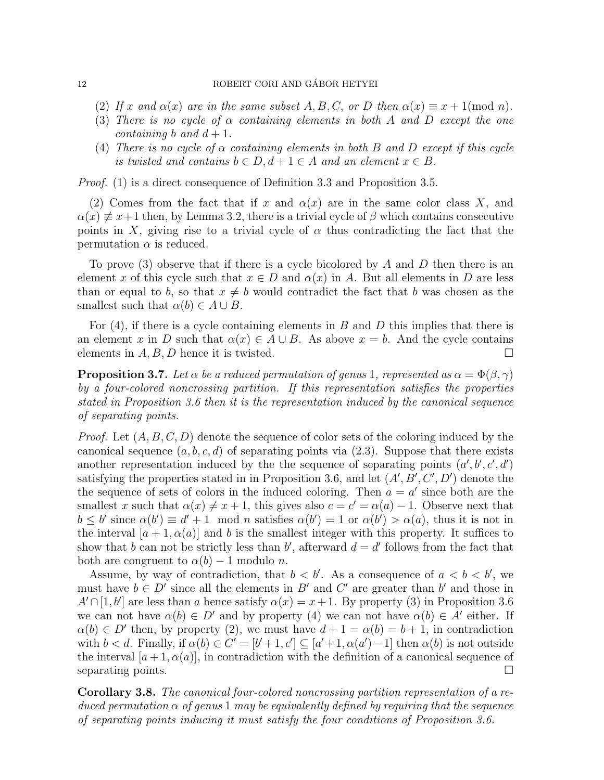### 12 ROBERT CORI AND GÁBOR HETYEI

- (2) If x and  $\alpha(x)$  are in the same subset A, B, C, or D then  $\alpha(x) \equiv x + 1 \pmod{n}$ .
- (3) There is no cycle of  $\alpha$  containing elements in both A and D except the one containing b and  $d+1$ .
- (4) There is no cycle of  $\alpha$  containing elements in both B and D except if this cycle is twisted and contains  $b \in D, d+1 \in A$  and an element  $x \in B$ .

*Proof.* (1) is a direct consequence of Definition 3.3 and Proposition 3.5.

(2) Comes from the fact that if x and  $\alpha(x)$  are in the same color class X, and  $\alpha(x) \neq x+1$  then, by Lemma 3.2, there is a trivial cycle of  $\beta$  which contains consecutive points in X, giving rise to a trivial cycle of  $\alpha$  thus contradicting the fact that the permutation  $\alpha$  is reduced.

To prove (3) observe that if there is a cycle bicolored by A and D then there is an element x of this cycle such that  $x \in D$  and  $\alpha(x)$  in A. But all elements in D are less than or equal to b, so that  $x \neq b$  would contradict the fact that b was chosen as the smallest such that  $\alpha(b) \in A \cup B$ .

For  $(4)$ , if there is a cycle containing elements in B and D this implies that there is an element x in D such that  $\alpha(x) \in A \cup B$ . As above  $x = b$ . And the cycle contains elements in  $A, B, D$  hence it is twisted.

**Proposition 3.7.** Let  $\alpha$  be a reduced permutation of genus 1, represented as  $\alpha = \Phi(\beta, \gamma)$ by a four-colored noncrossing partition. If this representation satisfies the properties stated in Proposition 3.6 then it is the representation induced by the canonical sequence of separating points.

*Proof.* Let  $(A, B, C, D)$  denote the sequence of color sets of the coloring induced by the canonical sequence  $(a, b, c, d)$  of separating points via  $(2.3)$ . Suppose that there exists another representation induced by the the sequence of separating points  $(a', b', c', d')$ satisfying the properties stated in in Proposition 3.6, and let  $(A', B', C', D')$  denote the the sequence of sets of colors in the induced coloring. Then  $a = a'$  since both are the smallest x such that  $\alpha(x) \neq x + 1$ , this gives also  $c = c' = \alpha(a) - 1$ . Observe next that  $b \leq b'$  since  $\alpha(b') \equiv d' + 1 \mod n$  satisfies  $\alpha(b') = 1$  or  $\alpha(b') > \alpha(a)$ , thus it is not in the interval  $[a + 1, \alpha(a)]$  and b is the smallest integer with this property. It suffices to show that b can not be strictly less than b', afterward  $d = d'$  follows from the fact that both are congruent to  $\alpha(b) - 1$  modulo *n*.

Assume, by way of contradiction, that  $b < b'$ . As a consequence of  $a < b < b'$ , we must have  $b \in D'$  since all the elements in B' and C' are greater than b' and those in  $A' \cap [1, b']$  are less than a hence satisfy  $\alpha(x) = x + 1$ . By property (3) in Proposition 3.6 we can not have  $\alpha(b) \in D'$  and by property (4) we can not have  $\alpha(b) \in A'$  either. If  $\alpha(b) \in D'$  then, by property (2), we must have  $d+1 = \alpha(b) = b+1$ , in contradiction with  $b < d$ . Finally, if  $\alpha(b) \in C' = [b'+1, c'] \subseteq [a'+1, \alpha(a')-1]$  then  $\alpha(b)$  is not outside the interval  $[a+1, \alpha(a)]$ , in contradiction with the definition of a canonical sequence of separating points.  $\Box$ 

Corollary 3.8. The canonical four-colored noncrossing partition representation of a reduced permutation  $\alpha$  of genus 1 may be equivalently defined by requiring that the sequence of separating points inducing it must satisfy the four conditions of Proposition 3.6.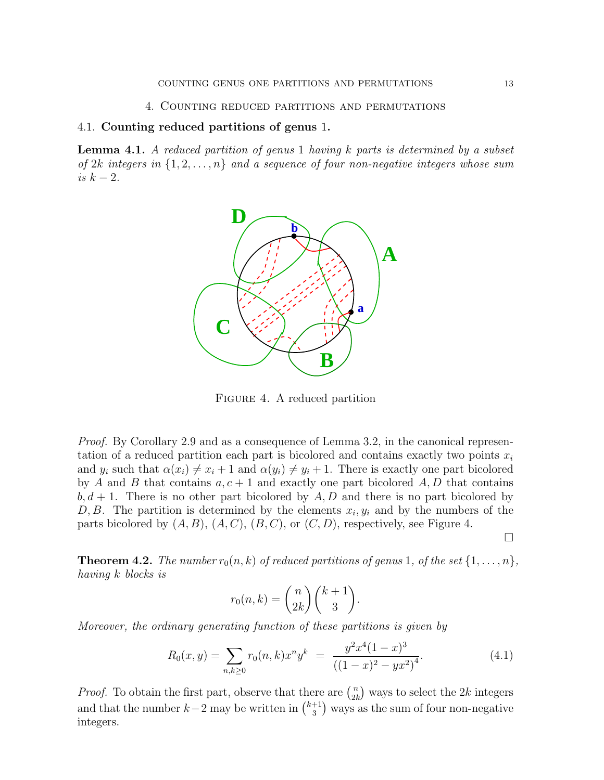### 4. Counting reduced partitions and permutations

# 4.1. Counting reduced partitions of genus 1.

Lemma 4.1. A reduced partition of genus 1 having k parts is determined by a subset of  $2k$  integers in  $\{1, 2, \ldots, n\}$  and a sequence of four non-negative integers whose sum is  $k-2$ .



Figure 4. A reduced partition

Proof. By Corollary 2.9 and as a consequence of Lemma 3.2, in the canonical representation of a reduced partition each part is bicolored and contains exactly two points  $x_i$ and  $y_i$  such that  $\alpha(x_i) \neq x_i + 1$  and  $\alpha(y_i) \neq y_i + 1$ . There is exactly one part bicolored by A and B that contains  $a, c + 1$  and exactly one part bicolored A, D that contains  $b, d + 1$ . There is no other part bicolored by  $A, D$  and there is no part bicolored by D, B. The partition is determined by the elements  $x_i, y_i$  and by the numbers of the parts bicolored by  $(A, B), (A, C), (B, C),$  or  $(C, D)$ , respectively, see Figure 4.

 $\Box$ 

**Theorem 4.2.** The number  $r_0(n, k)$  of reduced partitions of genus 1, of the set  $\{1, \ldots, n\}$ , having k blocks is

$$
r_0(n,k) = \binom{n}{2k} \binom{k+1}{3}.
$$

Moreover, the ordinary generating function of these partitions is given by

$$
R_0(x,y) = \sum_{n,k \ge 0} r_0(n,k)x^n y^k = \frac{y^2 x^4 (1-x)^3}{((1-x)^2 - yx^2)^4}.
$$
\n(4.1)

*Proof.* To obtain the first part, observe that there are  $\binom{n}{2}$  $n \choose 2k$  ways to select the 2k integers and that the number  $k-2$  may be written in  $\binom{k+1}{3}$  $\binom{+1}{3}$  ways as the sum of four non-negative integers.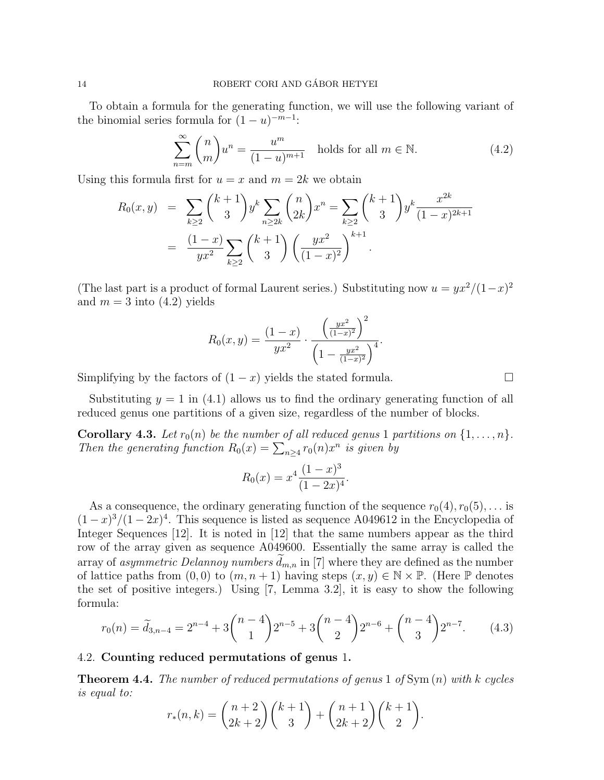To obtain a formula for the generating function, we will use the following variant of the binomial series formula for  $(1 - u)^{-m-1}$ :

$$
\sum_{n=m}^{\infty} \binom{n}{m} u^n = \frac{u^m}{(1-u)^{m+1}} \quad \text{holds for all } m \in \mathbb{N}.
$$
 (4.2)

Using this formula first for  $u = x$  and  $m = 2k$  we obtain

$$
R_0(x, y) = \sum_{k \ge 2} {k+1 \choose 3} y^k \sum_{n \ge 2k} {n \choose 2k} x^n = \sum_{k \ge 2} {k+1 \choose 3} y^k \frac{x^{2k}}{(1-x)^{2k+1}}
$$
  
= 
$$
\frac{(1-x)}{yx^2} \sum_{k \ge 2} {k+1 \choose 3} \left(\frac{yx^2}{(1-x)^2}\right)^{k+1}.
$$

(The last part is a product of formal Laurent series.) Substituting now  $u = yx^2/(1-x)^2$ and  $m = 3$  into  $(4.2)$  yields

$$
R_0(x, y) = \frac{(1-x)}{yx^2} \cdot \frac{\left(\frac{yx^2}{(1-x)^2}\right)^2}{\left(1 - \frac{yx^2}{(1-x)^2}\right)^4}.
$$

Simplifying by the factors of  $(1 - x)$  yields the stated formula.

Substituting  $y = 1$  in (4.1) allows us to find the ordinary generating function of all reduced genus one partitions of a given size, regardless of the number of blocks.

**Corollary 4.3.** Let  $r_0(n)$  be the number of all reduced genus 1 partitions on  $\{1, \ldots, n\}$ . Then the generating function  $R_0(x) = \sum_{n \geq 4} r_0(n) x^n$  is given by

$$
R_0(x) = x^4 \frac{(1-x)^3}{(1-2x)^4}.
$$

As a consequence, the ordinary generating function of the sequence  $r_0(4), r_0(5), \ldots$  is  $(1-x)^3/(1-2x)^4$ . This sequence is listed as sequence A049612 in the Encyclopedia of Integer Sequences [12]. It is noted in [12] that the same numbers appear as the third row of the array given as sequence A049600. Essentially the same array is called the array of *asymmetric Delannoy numbers*  $d_{m,n}$  in [7] where they are defined as the number of lattice paths from  $(0,0)$  to  $(m, n+1)$  having steps  $(x, y) \in \mathbb{N} \times \mathbb{P}$ . (Here  $\mathbb P$  denotes the set of positive integers.) Using [7, Lemma 3.2], it is easy to show the following formula:

$$
r_0(n) = \tilde{d}_{3,n-4} = 2^{n-4} + 3\binom{n-4}{1}2^{n-5} + 3\binom{n-4}{2}2^{n-6} + \binom{n-4}{3}2^{n-7}.
$$
 (4.3)

## 4.2. Counting reduced permutations of genus 1.

**Theorem 4.4.** The number of reduced permutations of genus 1 of  $Sym(n)$  with k cycles is equal to:

$$
r_*(n,k) = \binom{n+2}{2k+2} \binom{k+1}{3} + \binom{n+1}{2k+2} \binom{k+1}{2}.
$$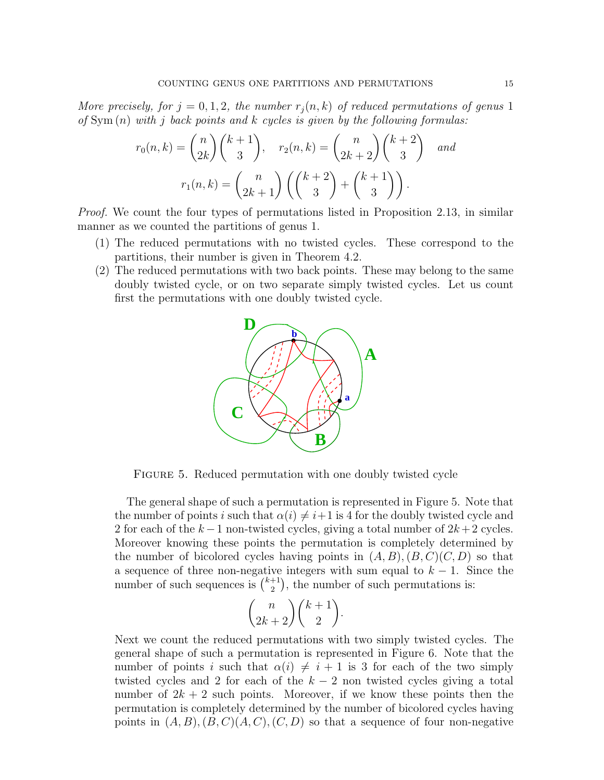More precisely, for  $j = 0, 1, 2$ , the number  $r_j(n, k)$  of reduced permutations of genus 1 of  $Sym(n)$  with j back points and k cycles is given by the following formulas:

$$
r_0(n,k) = \binom{n}{2k} \binom{k+1}{3}, \quad r_2(n,k) = \binom{n}{2k+2} \binom{k+2}{3} \quad and
$$

$$
r_1(n,k) = \binom{n}{2k+1} \left( \binom{k+2}{3} + \binom{k+1}{3} \right).
$$

Proof. We count the four types of permutations listed in Proposition 2.13, in similar manner as we counted the partitions of genus 1.

- (1) The reduced permutations with no twisted cycles. These correspond to the partitions, their number is given in Theorem 4.2.
- (2) The reduced permutations with two back points. These may belong to the same doubly twisted cycle, or on two separate simply twisted cycles. Let us count first the permutations with one doubly twisted cycle.



FIGURE 5. Reduced permutation with one doubly twisted cycle

The general shape of such a permutation is represented in Figure 5. Note that the number of points i such that  $\alpha(i) \neq i+1$  is 4 for the doubly twisted cycle and 2 for each of the  $k-1$  non-twisted cycles, giving a total number of  $2k+2$  cycles. Moreover knowing these points the permutation is completely determined by the number of bicolored cycles having points in  $(A, B), (B, C)(C, D)$  so that a sequence of three non-negative integers with sum equal to  $k - 1$ . Since the number of such sequences is  $\binom{k+1}{2}$  $\binom{+1}{2}$ , the number of such permutations is:

$$
\binom{n}{2k+2} \binom{k+1}{2}.
$$

Next we count the reduced permutations with two simply twisted cycles. The general shape of such a permutation is represented in Figure 6. Note that the number of points i such that  $\alpha(i) \neq i + 1$  is 3 for each of the two simply twisted cycles and 2 for each of the  $k-2$  non twisted cycles giving a total number of  $2k + 2$  such points. Moreover, if we know these points then the permutation is completely determined by the number of bicolored cycles having points in  $(A, B), (B, C), (C, D)$  so that a sequence of four non-negative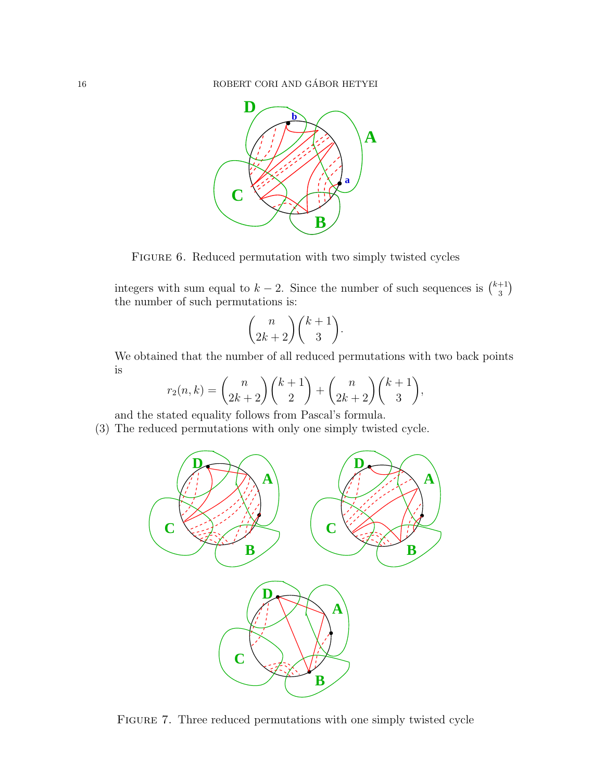16 ROBERT CORI AND GÁBOR HETYEI



FIGURE 6. Reduced permutation with two simply twisted cycles

integers with sum equal to  $k-2$ . Since the number of such sequences is  $\binom{k+1}{3}$  $_{3}^{+1}$ the number of such permutations is:

$$
\binom{n}{2k+2} \binom{k+1}{3}.
$$

We obtained that the number of all reduced permutations with two back points is

$$
r_2(n,k) = {n \choose 2k+2} {k+1 \choose 2} + {n \choose 2k+2} {k+1 \choose 3},
$$

and the stated equality follows from Pascal's formula.

(3) The reduced permutations with only one simply twisted cycle.



FIGURE 7. Three reduced permutations with one simply twisted cycle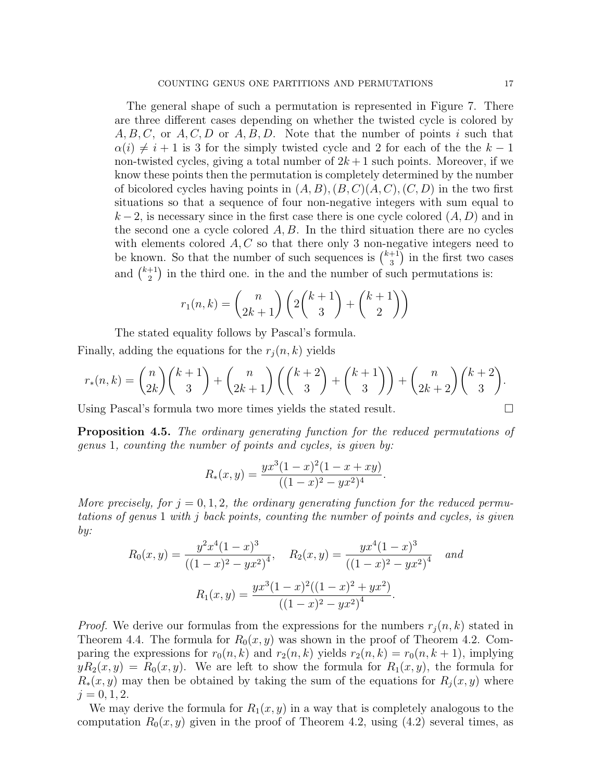The general shape of such a permutation is represented in Figure 7. There are three different cases depending on whether the twisted cycle is colored by  $A, B, C$ , or  $A, C, D$  or  $A, B, D$ . Note that the number of points i such that  $\alpha(i) \neq i + 1$  is 3 for the simply twisted cycle and 2 for each of the the  $k - 1$ non-twisted cycles, giving a total number of  $2k+1$  such points. Moreover, if we know these points then the permutation is completely determined by the number of bicolored cycles having points in  $(A, B), (B, C)(A, C), (C, D)$  in the two first situations so that a sequence of four non-negative integers with sum equal to  $k-2$ , is necessary since in the first case there is one cycle colored  $(A, D)$  and in the second one a cycle colored  $A, B$ . In the third situation there are no cycles with elements colored  $A, C$  so that there only 3 non-negative integers need to be known. So that the number of such sequences is  $\binom{k+1}{3}$  $\binom{+1}{3}$  in the first two cases and  $\binom{k+1}{2}$  $\binom{+1}{2}$  in the third one. in the and the number of such permutations is:

$$
r_1(n,k) = {n \choose 2k+1} \left( 2 {k+1 \choose 3} + {k+1 \choose 2} \right)
$$

The stated equality follows by Pascal's formula.

Finally, adding the equations for the  $r_i(n, k)$  yields

$$
r_*(n,k) = \binom{n}{2k} \binom{k+1}{3} + \binom{n}{2k+1} \left( \binom{k+2}{3} + \binom{k+1}{3} \right) + \binom{n}{2k+2} \binom{k+2}{3}.
$$

Using Pascal's formula two more times yields the stated result.

**Proposition 4.5.** The ordinary generating function for the reduced permutations of genus 1, counting the number of points and cycles, is given by:

$$
R_*(x, y) = \frac{yx^3(1-x)^2(1-x+xy)}{((1-x)^2 - yx^2)^4}.
$$

More precisely, for  $j = 0, 1, 2$ , the ordinary generating function for the reduced permutations of genus 1 with j back points, counting the number of points and cycles, is given by:

$$
R_0(x,y) = \frac{y^2 x^4 (1-x)^3}{((1-x)^2 - yx^2)^4}, \quad R_2(x,y) = \frac{yx^4 (1-x)^3}{((1-x)^2 - yx^2)^4} \quad and
$$

$$
R_1(x,y) = \frac{yx^3 (1-x)^2 ((1-x)^2 + yx^2)}{((1-x)^2 - yx^2)^4}.
$$

*Proof.* We derive our formulas from the expressions for the numbers  $r_j(n, k)$  stated in Theorem 4.4. The formula for  $R_0(x, y)$  was shown in the proof of Theorem 4.2. Comparing the expressions for  $r_0(n, k)$  and  $r_2(n, k)$  yields  $r_2(n, k) = r_0(n, k + 1)$ , implying  $yR_2(x, y) = R_0(x, y)$ . We are left to show the formula for  $R_1(x, y)$ , the formula for  $R_*(x, y)$  may then be obtained by taking the sum of the equations for  $R_j(x, y)$  where  $j = 0, 1, 2.$ 

We may derive the formula for  $R_1(x, y)$  in a way that is completely analogous to the computation  $R_0(x, y)$  given in the proof of Theorem 4.2, using (4.2) several times, as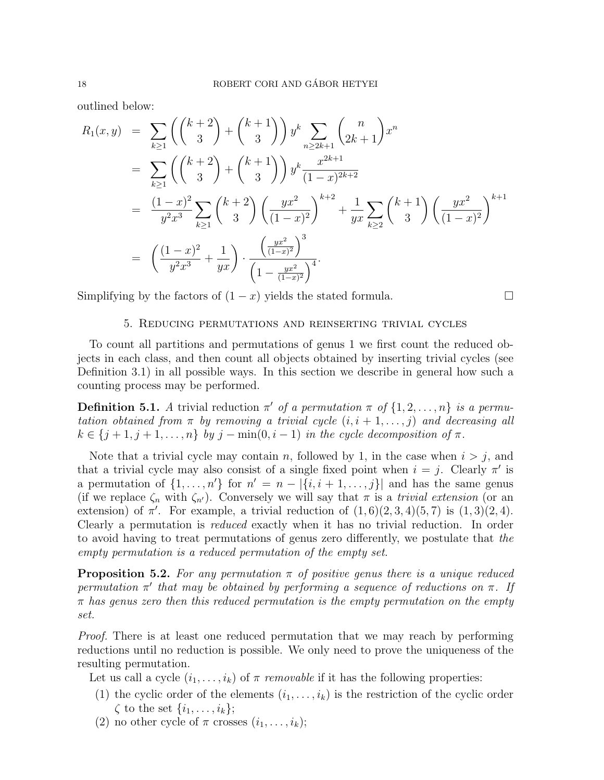outlined below:

$$
R_1(x,y) = \sum_{k\geq 1} \left( \binom{k+2}{3} + \binom{k+1}{3} \right) y^k \sum_{n\geq 2k+1} \binom{n}{2k+1} x^n
$$
  
\n
$$
= \sum_{k\geq 1} \left( \binom{k+2}{3} + \binom{k+1}{3} \right) y^k \frac{x^{2k+1}}{(1-x)^{2k+2}}
$$
  
\n
$$
= \frac{(1-x)^2}{y^2 x^3} \sum_{k\geq 1} \binom{k+2}{3} \left( \frac{yx^2}{(1-x)^2} \right)^{k+2} + \frac{1}{yx} \sum_{k\geq 2} \binom{k+1}{3} \left( \frac{yx^2}{(1-x)^2} \right)^{k+1}
$$
  
\n
$$
= \left( \frac{(1-x)^2}{y^2 x^3} + \frac{1}{yx} \right) \cdot \frac{\left( \frac{yx^2}{(1-x)^2} \right)^3}{\left( 1 - \frac{yx^2}{(1-x)^2} \right)^4}.
$$

Simplifying by the factors of  $(1-x)$  yields the stated formula.

# 5. Reducing permutations and reinserting trivial cycles

To count all partitions and permutations of genus 1 we first count the reduced objects in each class, and then count all objects obtained by inserting trivial cycles (see Definition 3.1) in all possible ways. In this section we describe in general how such a counting process may be performed.

**Definition 5.1.** A trivial reduction  $\pi'$  of a permutation  $\pi$  of  $\{1, 2, ..., n\}$  is a permutation obtained from  $\pi$  by removing a trivial cycle  $(i, i + 1, \ldots, j)$  and decreasing all  $k \in \{j+1, j+1, \ldots, n\}$  by  $j - \min(0, i-1)$  in the cycle decomposition of  $\pi$ .

Note that a trivial cycle may contain n, followed by 1, in the case when  $i > j$ , and that a trivial cycle may also consist of a single fixed point when  $i = j$ . Clearly  $\pi'$  is a permutation of  $\{1, \ldots, n'\}$  for  $n' = n - |\{i, i + 1, \ldots, j\}|$  and has the same genus (if we replace  $\zeta_n$  with  $\zeta_{n'}$ ). Conversely we will say that  $\pi$  is a *trivial extension* (or an extension) of  $\pi'$ . For example, a trivial reduction of  $(1,6)(2,3,4)(5,7)$  is  $(1,3)(2,4)$ . Clearly a permutation is reduced exactly when it has no trivial reduction. In order to avoid having to treat permutations of genus zero differently, we postulate that the empty permutation is a reduced permutation of the empty set.

**Proposition 5.2.** For any permutation  $\pi$  of positive genus there is a unique reduced permutation  $\pi'$  that may be obtained by performing a sequence of reductions on  $\pi$ . If  $\pi$  has genus zero then this reduced permutation is the empty permutation on the empty set.

*Proof.* There is at least one reduced permutation that we may reach by performing reductions until no reduction is possible. We only need to prove the uniqueness of the resulting permutation.

Let us call a cycle  $(i_1, \ldots, i_k)$  of  $\pi$  removable if it has the following properties:

- (1) the cyclic order of the elements  $(i_1, \ldots, i_k)$  is the restriction of the cyclic order  $\zeta$  to the set  $\{i_1, \ldots, i_k\};$
- (2) no other cycle of  $\pi$  crosses  $(i_1, \ldots, i_k);$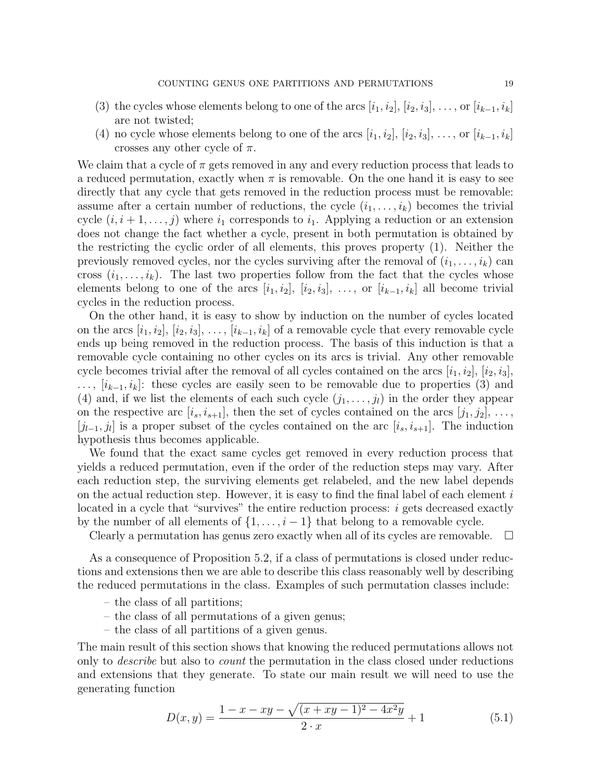- (3) the cycles whose elements belong to one of the arcs  $[i_1, i_2], [i_2, i_3], \ldots$ , or  $[i_{k-1}, i_k]$ are not twisted;
- (4) no cycle whose elements belong to one of the arcs  $[i_1, i_2], [i_2, i_3], \ldots$ , or  $[i_{k-1}, i_k]$ crosses any other cycle of  $\pi$ .

We claim that a cycle of  $\pi$  gets removed in any and every reduction process that leads to a reduced permutation, exactly when  $\pi$  is removable. On the one hand it is easy to see directly that any cycle that gets removed in the reduction process must be removable: assume after a certain number of reductions, the cycle  $(i_1, \ldots, i_k)$  becomes the trivial cycle  $(i, i+1, \ldots, j)$  where  $i_1$  corresponds to  $i_1$ . Applying a reduction or an extension does not change the fact whether a cycle, present in both permutation is obtained by the restricting the cyclic order of all elements, this proves property (1). Neither the previously removed cycles, nor the cycles surviving after the removal of  $(i_1, \ldots, i_k)$  can cross  $(i_1, \ldots, i_k)$ . The last two properties follow from the fact that the cycles whose elements belong to one of the arcs  $[i_1, i_2], [i_2, i_3], \ldots$ , or  $[i_{k-1}, i_k]$  all become trivial cycles in the reduction process.

On the other hand, it is easy to show by induction on the number of cycles located on the arcs  $[i_1, i_2], [i_2, i_3], \ldots, [i_{k-1}, i_k]$  of a removable cycle that every removable cycle ends up being removed in the reduction process. The basis of this induction is that a removable cycle containing no other cycles on its arcs is trivial. Any other removable cycle becomes trivial after the removal of all cycles contained on the arcs  $[i_1, i_2], [i_2, i_3],$  $\ldots$ ,  $[i_{k-1}, i_k]$ : these cycles are easily seen to be removable due to properties (3) and (4) and, if we list the elements of each such cycle  $(j_1, \ldots, j_l)$  in the order they appear on the respective arc  $[i_s, i_{s+1}]$ , then the set of cycles contained on the arcs  $[j_1, j_2]$ , ...,  $[j_{l-1}, j_l]$  is a proper subset of the cycles contained on the arc  $[i_s, i_{s+1}]$ . The induction hypothesis thus becomes applicable.

We found that the exact same cycles get removed in every reduction process that yields a reduced permutation, even if the order of the reduction steps may vary. After each reduction step, the surviving elements get relabeled, and the new label depends on the actual reduction step. However, it is easy to find the final label of each element  $i$ located in a cycle that "survives" the entire reduction process: *i* gets decreased exactly by the number of all elements of  $\{1, \ldots, i-1\}$  that belong to a removable cycle.

Clearly a permutation has genus zero exactly when all of its cycles are removable.  $\Box$ 

As a consequence of Proposition 5.2, if a class of permutations is closed under reductions and extensions then we are able to describe this class reasonably well by describing the reduced permutations in the class. Examples of such permutation classes include:

- the class of all partitions;
- the class of all permutations of a given genus;
- the class of all partitions of a given genus.

The main result of this section shows that knowing the reduced permutations allows not only to describe but also to count the permutation in the class closed under reductions and extensions that they generate. To state our main result we will need to use the generating function

$$
D(x,y) = \frac{1-x-xy - \sqrt{(x+xy-1)^2 - 4x^2y}}{2 \cdot x} + 1
$$
\n(5.1)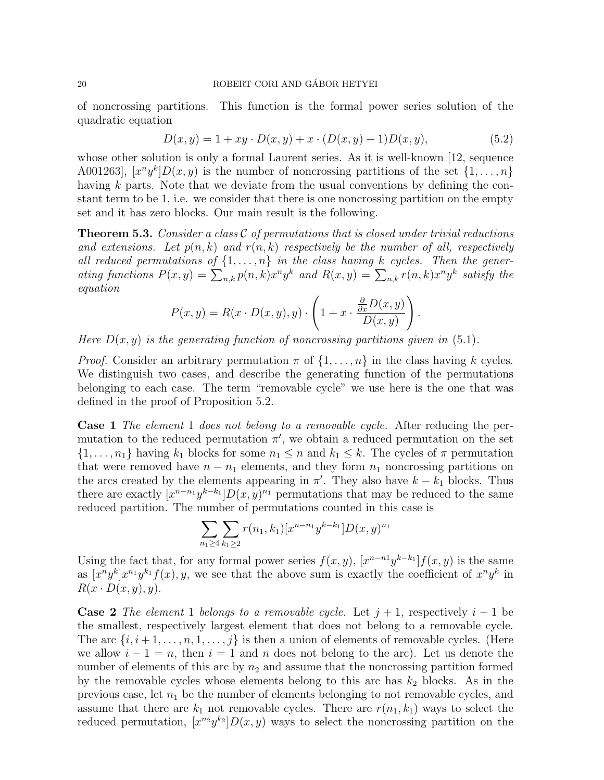of noncrossing partitions. This function is the formal power series solution of the quadratic equation

$$
D(x, y) = 1 + xy \cdot D(x, y) + x \cdot (D(x, y) - 1)D(x, y), \tag{5.2}
$$

whose other solution is only a formal Laurent series. As it is well-known [12, sequence A001263,  $[x^n y^k]D(x, y)$  is the number of noncrossing partitions of the set  $\{1, \ldots, n\}$ having k parts. Note that we deviate from the usual conventions by defining the constant term to be 1, i.e. we consider that there is one noncrossing partition on the empty set and it has zero blocks. Our main result is the following.

**Theorem 5.3.** Consider a class  $\mathcal{C}$  of permutations that is closed under trivial reductions and extensions. Let  $p(n, k)$  and  $r(n, k)$  respectively be the number of all, respectively all reduced permutations of  $\{1,\ldots,n\}$  in the class having k cycles. Then the generating functions  $P(x,y) = \sum_{n,k} p(n,k) x^n y^k$  and  $R(x,y) = \sum_{n,k} r(n,k) x^n y^k$  satisfy the equation

$$
P(x,y) = R(x \cdot D(x,y), y) \cdot \left(1 + x \cdot \frac{\frac{\partial}{\partial x}D(x,y)}{D(x,y)}\right).
$$

Here  $D(x, y)$  is the generating function of noncrossing partitions given in (5.1).

*Proof.* Consider an arbitrary permutation  $\pi$  of  $\{1, \ldots, n\}$  in the class having k cycles. We distinguish two cases, and describe the generating function of the permutations belonging to each case. The term "removable cycle" we use here is the one that was defined in the proof of Proposition 5.2.

Case 1 The element 1 does not belong to a removable cycle. After reducing the permutation to the reduced permutation  $\pi'$ , we obtain a reduced permutation on the set  $\{1,\ldots,n_1\}$  having  $k_1$  blocks for some  $n_1 \leq n$  and  $k_1 \leq k$ . The cycles of  $\pi$  permutation that were removed have  $n - n_1$  elements, and they form  $n_1$  noncrossing partitions on the arcs created by the elements appearing in  $\pi'$ . They also have  $k - k_1$  blocks. Thus there are exactly  $[x^{n-n_1}y^{k-k_1}]D(x,y)^{n_1}$  permutations that may be reduced to the same reduced partition. The number of permutations counted in this case is

$$
\sum_{n_1 \ge 4} \sum_{k_1 \ge 2} r(n_1, k_1) [x^{n-n_1} y^{k-k_1}] D(x, y)^{n_1}
$$

Using the fact that, for any formal power series  $f(x, y)$ ,  $[x^{n-n}y^{k-k_1}]f(x, y)$  is the same as  $[x^n y^k] x^{n_1} y^{k_1} f(x), y$ , we see that the above sum is exactly the coefficient of  $x^n y^k$  in  $R(x \cdot D(x, y), y)$ .

**Case 2** The element 1 belongs to a removable cycle. Let  $j + 1$ , respectively  $i - 1$  be the smallest, respectively largest element that does not belong to a removable cycle. The arc  $\{i, i+1, \ldots, n, 1, \ldots, j\}$  is then a union of elements of removable cycles. (Here we allow  $i - 1 = n$ , then  $i = 1$  and n does not belong to the arc). Let us denote the number of elements of this arc by  $n_2$  and assume that the noncrossing partition formed by the removable cycles whose elements belong to this arc has  $k_2$  blocks. As in the previous case, let  $n_1$  be the number of elements belonging to not removable cycles, and assume that there are  $k_1$  not removable cycles. There are  $r(n_1, k_1)$  ways to select the reduced permutation,  $[x^{n_2}y^{k_2}]D(x, y)$  ways to select the noncrossing partition on the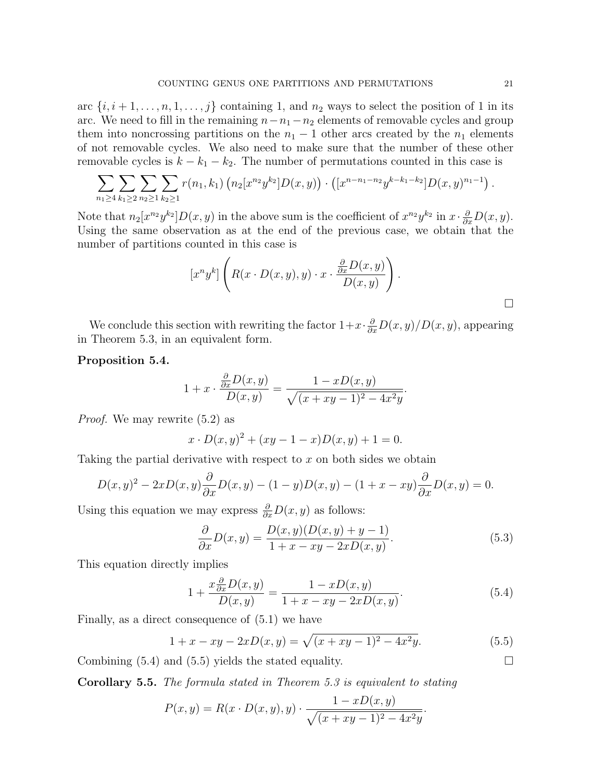arc  $\{i, i+1, \ldots, n, 1, \ldots, j\}$  containing 1, and  $n_2$  ways to select the position of 1 in its arc. We need to fill in the remaining  $n-n_1-n_2$  elements of removable cycles and group them into noncrossing partitions on the  $n_1 - 1$  other arcs created by the  $n_1$  elements of not removable cycles. We also need to make sure that the number of these other removable cycles is  $k - k_1 - k_2$ . The number of permutations counted in this case is

$$
\sum_{n_1 \geq 4} \sum_{k_1 \geq 2} \sum_{n_2 \geq 1} \sum_{k_2 \geq 1} r(n_1, k_1) \left( n_2[x^{n_2} y^{k_2}] D(x, y) \right) \cdot \left( [x^{n-n_1-n_2} y^{k-k_1-k_2}] D(x, y)^{n_1-1} \right).
$$

Note that  $n_2[x^{n_2}y^{k_2}]D(x,y)$  in the above sum is the coefficient of  $x^{n_2}y^{k_2}$  in  $x \cdot \frac{\partial}{\partial x}D(x,y)$ . Using the same observation as at the end of the previous case, we obtain that the number of partitions counted in this case is

$$
[x^n y^k] \left( R(x \cdot D(x, y), y) \cdot x \cdot \frac{\frac{\partial}{\partial x} D(x, y)}{D(x, y)} \right).
$$

We conclude this section with rewriting the factor  $1+x \cdot \frac{\partial}{\partial x}D(x,y)/D(x,y)$ , appearing in Theorem 5.3, in an equivalent form.

# Proposition 5.4.

$$
1+x \cdot \frac{\frac{\partial}{\partial x}D(x,y)}{D(x,y)} = \frac{1-xD(x,y)}{\sqrt{(x+xy-1)^2-4x^2y}}.
$$

Proof. We may rewrite (5.2) as

$$
x \cdot D(x, y)^{2} + (xy - 1 - x)D(x, y) + 1 = 0.
$$

Taking the partial derivative with respect to  $x$  on both sides we obtain

$$
D(x,y)^{2} - 2xD(x,y)\frac{\partial}{\partial x}D(x,y) - (1-y)D(x,y) - (1+x-xy)\frac{\partial}{\partial x}D(x,y) = 0.
$$

Using this equation we may express  $\frac{\partial}{\partial x}D(x, y)$  as follows:

$$
\frac{\partial}{\partial x}D(x,y) = \frac{D(x,y)(D(x,y) + y - 1)}{1 + x - xy - 2xD(x,y)}.\tag{5.3}
$$

This equation directly implies

$$
1 + \frac{x \frac{\partial}{\partial x} D(x, y)}{D(x, y)} = \frac{1 - xD(x, y)}{1 + x - xy - 2xD(x, y)}.
$$
(5.4)

Finally, as a direct consequence of (5.1) we have

$$
1 + x - xy - 2xD(x, y) = \sqrt{(x + xy - 1)^2 - 4x^2y}.
$$
\n(5.5)

Combining  $(5.4)$  and  $(5.5)$  yields the stated equality.

Corollary 5.5. The formula stated in Theorem 5.3 is equivalent to stating

$$
P(x,y) = R(x \cdot D(x,y), y) \cdot \frac{1 - xD(x,y)}{\sqrt{(x+xy-1)^2 - 4x^2y}}.
$$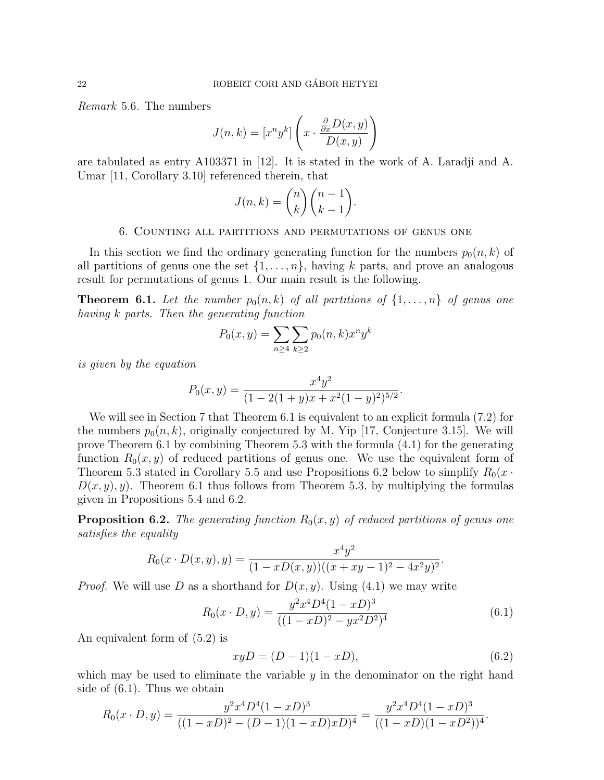Remark 5.6. The numbers

$$
J(n,k) = [x^n y^k] \left( x \cdot \frac{\frac{\partial}{\partial x} D(x,y)}{D(x,y)} \right)
$$

are tabulated as entry A103371 in [12]. It is stated in the work of A. Laradji and A. Umar [11, Corollary 3.10] referenced therein, that

$$
J(n,k) = \binom{n}{k} \binom{n-1}{k-1}.
$$

#### 6. Counting all partitions and permutations of genus one

In this section we find the ordinary generating function for the numbers  $p_0(n, k)$  of all partitions of genus one the set  $\{1, \ldots, n\}$ , having k parts, and prove an analogous result for permutations of genus 1. Our main result is the following.

**Theorem 6.1.** Let the number  $p_0(n, k)$  of all partitions of  $\{1, \ldots, n\}$  of genus one having k parts. Then the generating function

$$
P_0(x, y) = \sum_{n \ge 4} \sum_{k \ge 2} p_0(n, k) x^n y^k
$$

is given by the equation

$$
P_0(x,y) = \frac{x^4y^2}{(1-2(1+y)x+x^2(1-y)^2)^{5/2}}.
$$

We will see in Section 7 that Theorem 6.1 is equivalent to an explicit formula (7.2) for the numbers  $p_0(n, k)$ , originally conjectured by M. Yip [17, Conjecture 3.15]. We will prove Theorem 6.1 by combining Theorem 5.3 with the formula (4.1) for the generating function  $R_0(x, y)$  of reduced partitions of genus one. We use the equivalent form of Theorem 5.3 stated in Corollary 5.5 and use Propositions 6.2 below to simplify  $R_0(x \cdot$  $D(x, y), y$ . Theorem 6.1 thus follows from Theorem 5.3, by multiplying the formulas given in Propositions 5.4 and 6.2.

**Proposition 6.2.** The generating function  $R_0(x, y)$  of reduced partitions of genus one satisfies the equality

$$
R_0(x \cdot D(x, y), y) = \frac{x^4 y^2}{(1 - xD(x, y))((x + xy - 1)^2 - 4x^2 y)^2}.
$$

*Proof.* We will use D as a shorthand for  $D(x, y)$ . Using (4.1) we may write

$$
R_0(x \cdot D, y) = \frac{y^2 x^4 D^4 (1 - xD)^3}{((1 - xD)^2 - yx^2 D^2)^4}
$$
(6.1)

An equivalent form of (5.2) is

$$
xyD = (D - 1)(1 - xD),
$$
\n(6.2)

which may be used to eliminate the variable  $y$  in the denominator on the right hand side of (6.1). Thus we obtain

$$
R_0(x \cdot D, y) = \frac{y^2 x^4 D^4 (1 - x D)^3}{((1 - x D)^2 - (D - 1)(1 - x D)x D)^4} = \frac{y^2 x^4 D^4 (1 - x D)^3}{((1 - x D)(1 - x D^2))^4}.
$$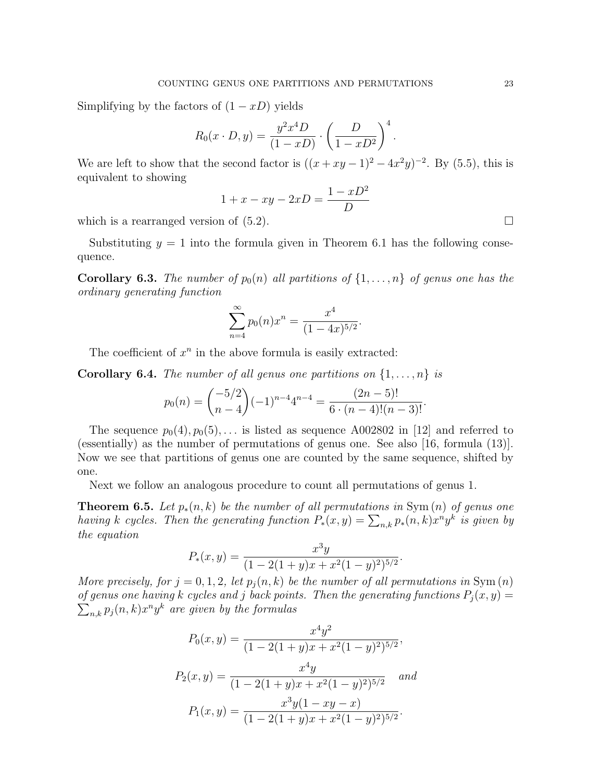Simplifying by the factors of  $(1 - xD)$  yields

$$
R_0(x \cdot D, y) = \frac{y^2 x^4 D}{(1 - xD)} \cdot \left(\frac{D}{1 - xD^2}\right)^4.
$$

We are left to show that the second factor is  $((x+xy-1)^2-4x^2y)^{-2}$ . By (5.5), this is equivalent to showing

$$
1 + x - xy - 2xD = \frac{1 - xD^2}{D}
$$

which is a rearranged version of  $(5.2)$ .

Substituting  $y = 1$  into the formula given in Theorem 6.1 has the following consequence.

**Corollary 6.3.** The number of  $p_0(n)$  all partitions of  $\{1, \ldots, n\}$  of genus one has the ordinary generating function

$$
\sum_{n=4}^{\infty} p_0(n) x^n = \frac{x^4}{(1-4x)^{5/2}}.
$$

The coefficient of  $x^n$  in the above formula is easily extracted:

**Corollary 6.4.** The number of all genus one partitions on  $\{1, \ldots, n\}$  is

$$
p_0(n) = { -5/2 \choose n-4} (-1)^{n-4} 4^{n-4} = \frac{(2n-5)!}{6 \cdot (n-4)!(n-3)!}.
$$

The sequence  $p_0(4), p_0(5), \ldots$  is listed as sequence A002802 in [12] and referred to (essentially) as the number of permutations of genus one. See also [16, formula (13)]. Now we see that partitions of genus one are counted by the same sequence, shifted by one.

Next we follow an analogous procedure to count all permutations of genus 1.

**Theorem 6.5.** Let  $p_*(n, k)$  be the number of all permutations in Sym $(n)$  of genus one having k cycles. Then the generating function  $P_*(x,y) = \sum_{n,k} p_*(n,k) x^n y^k$  is given by the equation

$$
P_*(x,y) = \frac{x^3y}{(1 - 2(1 + y)x + x^2(1 - y)^2)^{5/2}}.
$$

More precisely, for  $j = 0, 1, 2$ , let  $p_i(n, k)$  be the number of all permutations in Sym $(n)$ of genus one having k cycles and j back points. Then the generating functions  $P_j(x, y) =$  $\sum_{n,k} p_j(n,k) x^n y^k$  are given by the formulas

$$
P_0(x, y) = \frac{x^4 y^2}{(1 - 2(1 + y)x + x^2(1 - y)^2)^{5/2}},
$$
  
\n
$$
P_2(x, y) = \frac{x^4 y}{(1 - 2(1 + y)x + x^2(1 - y)^2)^{5/2}} \quad and
$$
  
\n
$$
P_1(x, y) = \frac{x^3 y (1 - xy - x)}{(1 - 2(1 + y)x + x^2(1 - y)^2)^{5/2}}.
$$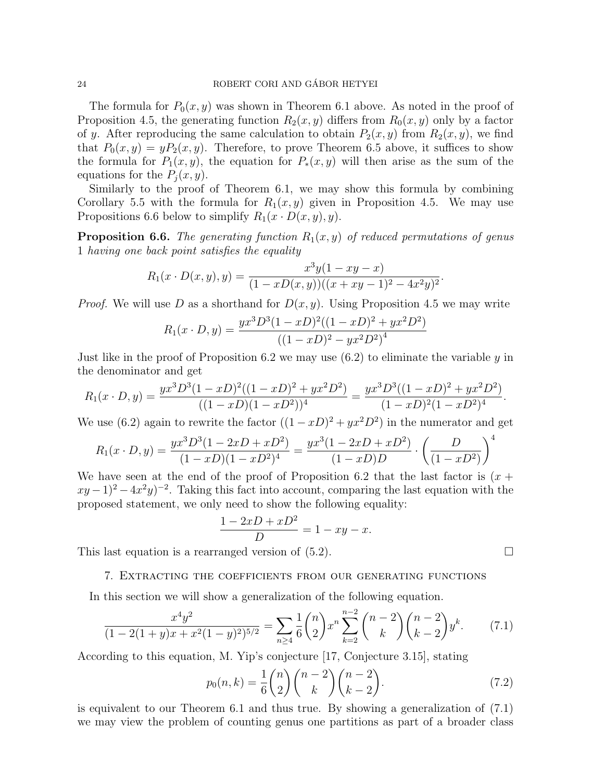The formula for  $P_0(x, y)$  was shown in Theorem 6.1 above. As noted in the proof of Proposition 4.5, the generating function  $R_2(x, y)$  differs from  $R_0(x, y)$  only by a factor of y. After reproducing the same calculation to obtain  $P_2(x, y)$  from  $R_2(x, y)$ , we find that  $P_0(x, y) = yP_2(x, y)$ . Therefore, to prove Theorem 6.5 above, it suffices to show the formula for  $P_1(x, y)$ , the equation for  $P_*(x, y)$  will then arise as the sum of the equations for the  $P_i(x, y)$ .

Similarly to the proof of Theorem 6.1, we may show this formula by combining Corollary 5.5 with the formula for  $R_1(x, y)$  given in Proposition 4.5. We may use Propositions 6.6 below to simplify  $R_1(x \cdot D(x, y), y)$ .

**Proposition 6.6.** The generating function  $R_1(x, y)$  of reduced permutations of genus 1 having one back point satisfies the equality

$$
R_1(x \cdot D(x, y), y) = \frac{x^3 y (1 - xy - x)}{(1 - xD(x, y))((x + xy - 1)^2 - 4x^2 y)^2}.
$$

*Proof.* We will use D as a shorthand for  $D(x, y)$ . Using Proposition 4.5 we may write

$$
R_1(x \cdot D, y) = \frac{yx^3 D^3 (1 - xD)^2 ((1 - xD)^2 + yx^2 D^2)}{((1 - xD)^2 - yx^2 D^2)^4}
$$

Just like in the proof of Proposition 6.2 we may use  $(6.2)$  to eliminate the variable y in the denominator and get

$$
R_1(x \cdot D, y) = \frac{yx^3 D^3 (1 - xD)^2 ((1 - xD)^2 + yx^2 D^2)}{((1 - xD)(1 - xD^2))^4} = \frac{yx^3 D^3 ((1 - xD)^2 + yx^2 D^2)}{(1 - xD)^2 (1 - xD^2)^4}.
$$

We use (6.2) again to rewrite the factor  $((1-xD)^2 + yx^2D^2)$  in the numerator and get

$$
R_1(x \cdot D, y) = \frac{yx^3 D^3 (1 - 2xD + xD^2)}{(1 - xD)(1 - xD^2)^4} = \frac{yx^3 (1 - 2xD + xD^2)}{(1 - xD)D} \cdot \left(\frac{D}{(1 - xD^2)}\right)^4
$$

We have seen at the end of the proof of Proposition 6.2 that the last factor is  $(x +$  $(xy-1)^2-4x^2y^{-2}$ . Taking this fact into account, comparing the last equation with the proposed statement, we only need to show the following equality:

$$
\frac{1 - 2xD + xD^2}{D} = 1 - xy - x.
$$

This last equation is a rearranged version of  $(5.2)$ .

### 7. Extracting the coefficients from our generating functions

In this section we will show a generalization of the following equation.

$$
\frac{x^4y^2}{(1-2(1+y)x+x^2(1-y)^2)^{5/2}} = \sum_{n\geq 4} \frac{1}{6} \binom{n}{2} x^n \sum_{k=2}^{n-2} \binom{n-2}{k} \binom{n-2}{k-2} y^k. \tag{7.1}
$$

According to this equation, M. Yip's conjecture [17, Conjecture 3.15], stating

$$
p_0(n,k) = \frac{1}{6} \binom{n}{2} \binom{n-2}{k} \binom{n-2}{k-2}.
$$
 (7.2)

is equivalent to our Theorem 6.1 and thus true. By showing a generalization of (7.1) we may view the problem of counting genus one partitions as part of a broader class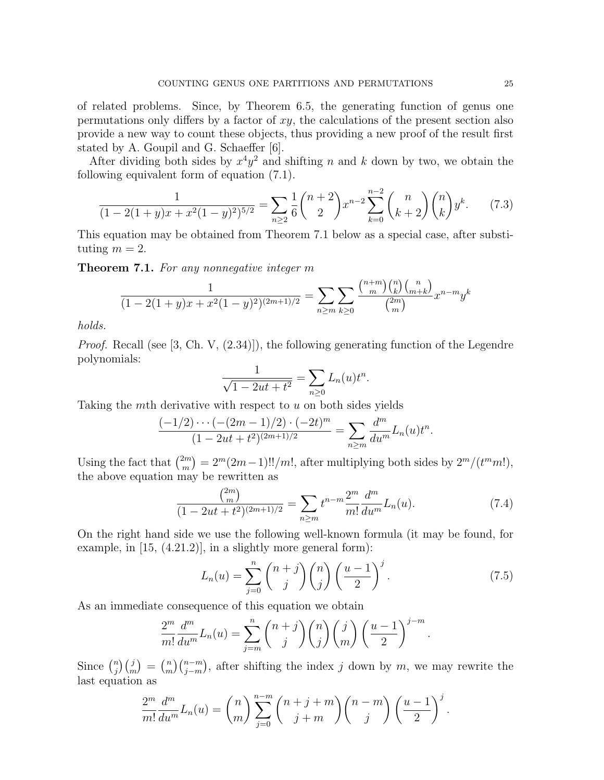of related problems. Since, by Theorem 6.5, the generating function of genus one permutations only differs by a factor of  $xy$ , the calculations of the present section also provide a new way to count these objects, thus providing a new proof of the result first stated by A. Goupil and G. Schaeffer [6].

After dividing both sides by  $x^4y^2$  and shifting n and k down by two, we obtain the following equivalent form of equation (7.1).

$$
\frac{1}{(1-2(1+y)x+x^2(1-y)^2)^{5/2}} = \sum_{n\geq 2} \frac{1}{6} \binom{n+2}{2} x^{n-2} \sum_{k=0}^{n-2} \binom{n}{k+2} \binom{n}{k} y^k.
$$
 (7.3)

This equation may be obtained from Theorem 7.1 below as a special case, after substituting  $m = 2$ .

Theorem 7.1. For any nonnegative integer m

$$
\frac{1}{(1 - 2(1 + y)x + x^2(1 - y)^2)^{(2m+1)/2}} = \sum_{n \ge m} \sum_{k \ge 0} \frac{\binom{n+m}{m} \binom{n}{k} \binom{n}{m+k}}{\binom{2m}{m}} x^{n-m} y^k
$$

holds.

Proof. Recall (see [3, Ch. V, (2.34)]), the following generating function of the Legendre polynomials:

$$
\frac{1}{\sqrt{1 - 2ut + t^2}} = \sum_{n \ge 0} L_n(u)t^n.
$$

Taking the mth derivative with respect to u on both sides yields

$$
\frac{(-1/2)\cdots(-(2m-1)/2)\cdot(-2t)^m}{(1-2ut+t^2)^{(2m+1)/2}}=\sum_{n\geq m}\frac{d^m}{du^m}L_n(u)t^n.
$$

Using the fact that  $\binom{2m}{m}$  $\binom{2m}{m} = 2^m(2m-1)!!/m!$ , after multiplying both sides by  $2^m/(t^m m!)$ , the above equation may be rewritten as

$$
\frac{\binom{2m}{m}}{(1-2ut+t^2)^{(2m+1)/2}} = \sum_{n\geq m} t^{n-m} \frac{2^m}{m!} \frac{d^m}{du^m} L_n(u). \tag{7.4}
$$

On the right hand side we use the following well-known formula (it may be found, for example, in [15, (4.21.2)], in a slightly more general form):

$$
L_n(u) = \sum_{j=0}^n \binom{n+j}{j} \binom{n}{j} \left(\frac{u-1}{2}\right)^j.
$$
 (7.5)

As an immediate consequence of this equation we obtain

$$
\frac{2^m}{m!} \frac{d^m}{du^m} L_n(u) = \sum_{j=m}^n {n+j \choose j} {n \choose j} {j \choose m} \left(\frac{u-1}{2}\right)^{j-m}.
$$

Since  $\binom{n}{i}$  $\binom{n}{j}\binom{j}{m} = \binom{n}{m}$  $\binom{n}{j-m}$ , after shifting the index j down by m, we may rewrite the last equation as

$$
\frac{2^m}{m!} \frac{d^m}{du^m} L_n(u) = {n \choose m} \sum_{j=0}^{n-m} {n+j+m \choose j+m} {n-m \choose j} \left(\frac{u-1}{2}\right)^j.
$$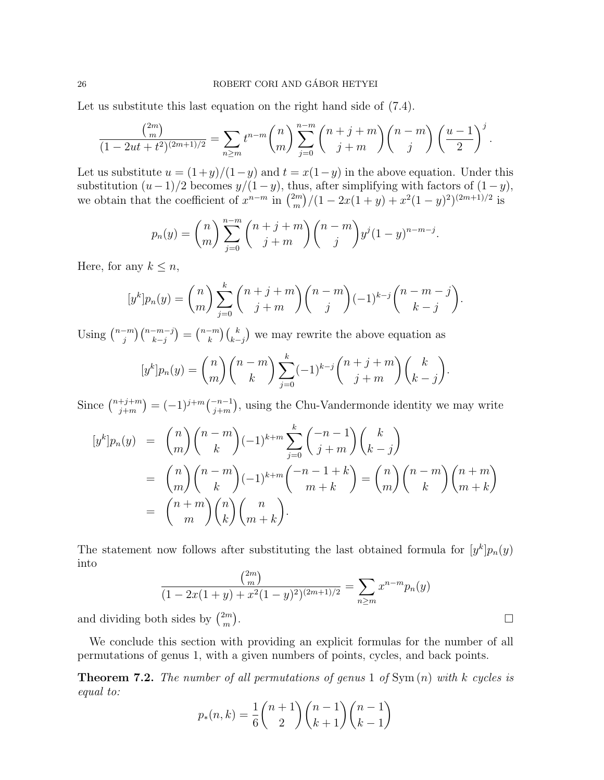Let us substitute this last equation on the right hand side of  $(7.4)$ .

$$
\frac{\binom{2m}{m}}{(1-2ut+t^2)^{(2m+1)/2}} = \sum_{n \ge m} t^{n-m} \binom{n}{m} \sum_{j=0}^{n-m} \binom{n+j+m}{j+m} \binom{n-m}{j} \left(\frac{u-1}{2}\right)^j.
$$

Let us substitute  $u = (1+y)/(1-y)$  and  $t = x(1-y)$  in the above equation. Under this substitution  $(u-1)/2$  becomes  $y/(1-y)$ , thus, after simplifying with factors of  $(1-y)$ , we obtain that the coefficient of  $x^{n-m}$  in  $\binom{2m}{m}$  $\binom{2m}{m} / (1 - 2x(1+y) + x^2(1-y)^2)^{(2m+1)/2}$  is

$$
p_n(y) = {n \choose m} \sum_{j=0}^{n-m} {n+j+m \choose j+m} {n-m \choose j} y^j (1-y)^{n-m-j}.
$$

Here, for any  $k \leq n$ ,

$$
[y^{k}]p_{n}(y) = {n \choose m} \sum_{j=0}^{k} {n+j+m \choose j+m} {n-m \choose j} (-1)^{k-j} {n-m-j \choose k-j}.
$$

Using  $\binom{n-m}{i}$  $\binom{-m}{j}\binom{n-m-j}{k-j} = \binom{n-m}{k}$  ${k \choose k-j}$  we may rewrite the above equation as

$$
[y^{k}]p_{n}(y) = {n \choose m} {n-m \choose k} \sum_{j=0}^{k} (-1)^{k-j} {n+j+m \choose j+m} {k \choose k-j}.
$$

Since  $\binom{n+j+m}{i+m}$  $\binom{+j+m}{j+m} = (-1)^{j+m} \binom{-n-1}{j+m}$ , using the Chu-Vandermonde identity we may write

$$
[y^k]p_n(y) = {n \choose m} {n-m \choose k} (-1)^{k+m} \sum_{j=0}^k {n-1 \choose j+m} {k \choose k-j}
$$
  

$$
= {n \choose m} {n-m \choose k} (-1)^{k+m} {n-1+k \choose m+k} = {n \choose m} {n-m \choose k} {n+m \choose m+k}
$$
  

$$
= {n+m \choose m} {n \choose k} {n \choose m+k}.
$$

The statement now follows after substituting the last obtained formula for  $[y^k]p_n(y)$ into

$$
\frac{\binom{2m}{m}}{(1-2x(1+y)+x^2(1-y)^2)^{(2m+1)/2}} = \sum_{n \ge m} x^{n-m} p_n(y)
$$

and dividing both sides by  $\binom{2m}{m}$  $\binom{2m}{m}$ 

We conclude this section with providing an explicit formulas for the number of all permutations of genus 1, with a given numbers of points, cycles, and back points.

**Theorem 7.2.** The number of all permutations of genus 1 of  $Sym(n)$  with k cycles is equal to:

$$
p_*(n,k) = \frac{1}{6} \binom{n+1}{2} \binom{n-1}{k+1} \binom{n-1}{k-1}
$$

.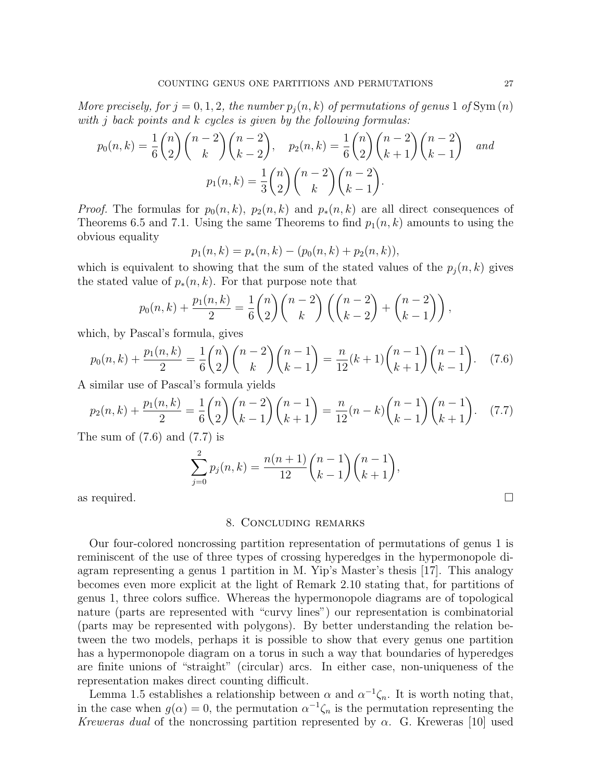More precisely, for  $j = 0, 1, 2$ , the number  $p_j(n, k)$  of permutations of genus 1 of Sym $(n)$ with j back points and k cycles is given by the following formulas:

$$
p_0(n,k) = \frac{1}{6} \binom{n}{2} \binom{n-2}{k} \binom{n-2}{k-2}, \quad p_2(n,k) = \frac{1}{6} \binom{n}{2} \binom{n-2}{k+1} \binom{n-2}{k-1} \quad and
$$

$$
p_1(n,k) = \frac{1}{3} \binom{n}{2} \binom{n-2}{k} \binom{n-2}{k-1}.
$$

*Proof.* The formulas for  $p_0(n, k)$ ,  $p_2(n, k)$  and  $p_*(n, k)$  are all direct consequences of Theorems 6.5 and 7.1. Using the same Theorems to find  $p_1(n, k)$  amounts to using the obvious equality

$$
p_1(n,k) = p_*(n,k) - (p_0(n,k) + p_2(n,k)),
$$

which is equivalent to showing that the sum of the stated values of the  $p_j(n, k)$  gives the stated value of  $p_*(n, k)$ . For that purpose note that

$$
p_0(n,k) + \frac{p_1(n,k)}{2} = \frac{1}{6} {n \choose 2} {n-2 \choose k} \left( {n-2 \choose k-2} + {n-2 \choose k-1} \right),
$$

which, by Pascal's formula, gives

$$
p_0(n,k) + \frac{p_1(n,k)}{2} = \frac{1}{6} \binom{n}{2} \binom{n-2}{k} \binom{n-1}{k-1} = \frac{n}{12}(k+1) \binom{n-1}{k+1} \binom{n-1}{k-1}.
$$
 (7.6)

A similar use of Pascal's formula yields

$$
p_2(n,k) + \frac{p_1(n,k)}{2} = \frac{1}{6} \binom{n}{2} \binom{n-2}{k-1} \binom{n-1}{k+1} = \frac{n}{12} (n-k) \binom{n-1}{k-1} \binom{n-1}{k+1}.
$$
 (7.7)

The sum of  $(7.6)$  and  $(7.7)$  is

$$
\sum_{j=0}^{2} p_j(n,k) = \frac{n(n+1)}{12} {n-1 \choose k-1} {n-1 \choose k+1},
$$

as required.  $\Box$ 

## 8. Concluding remarks

Our four-colored noncrossing partition representation of permutations of genus 1 is reminiscent of the use of three types of crossing hyperedges in the hypermonopole diagram representing a genus 1 partition in M. Yip's Master's thesis [17]. This analogy becomes even more explicit at the light of Remark 2.10 stating that, for partitions of genus 1, three colors suffice. Whereas the hypermonopole diagrams are of topological nature (parts are represented with "curvy lines") our representation is combinatorial (parts may be represented with polygons). By better understanding the relation between the two models, perhaps it is possible to show that every genus one partition has a hypermonopole diagram on a torus in such a way that boundaries of hyperedges are finite unions of "straight" (circular) arcs. In either case, non-uniqueness of the representation makes direct counting difficult.

Lemma 1.5 establishes a relationship between  $\alpha$  and  $\alpha^{-1}\zeta_n$ . It is worth noting that, in the case when  $g(\alpha) = 0$ , the permutation  $\alpha^{-1} \zeta_n$  is the permutation representing the Kreweras dual of the noncrossing partition represented by  $\alpha$ . G. Kreweras [10] used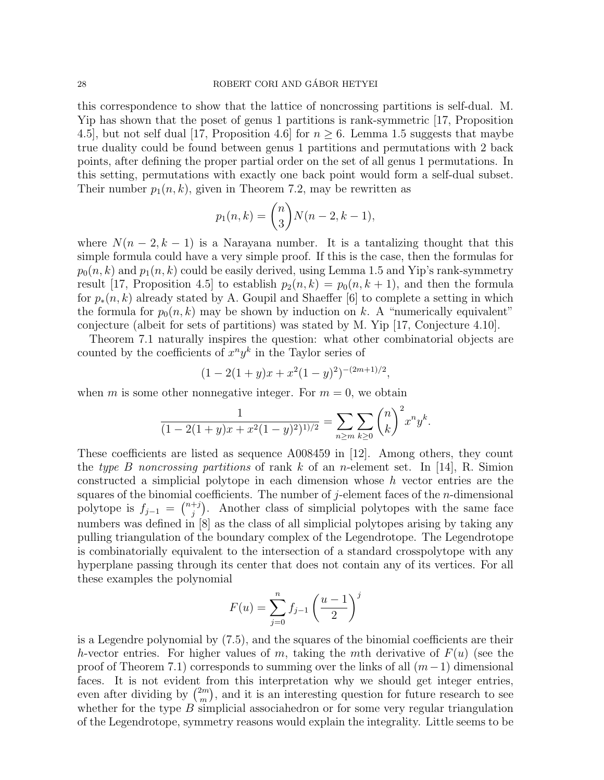this correspondence to show that the lattice of noncrossing partitions is self-dual. M. Yip has shown that the poset of genus 1 partitions is rank-symmetric [17, Proposition 4.5, but not self dual [17, Proposition 4.6] for  $n \geq 6$ . Lemma 1.5 suggests that maybe true duality could be found between genus 1 partitions and permutations with 2 back points, after defining the proper partial order on the set of all genus 1 permutations. In this setting, permutations with exactly one back point would form a self-dual subset. Their number  $p_1(n, k)$ , given in Theorem 7.2, may be rewritten as

$$
p_1(n,k) = {n \choose 3} N(n-2,k-1),
$$

where  $N(n-2, k-1)$  is a Narayana number. It is a tantalizing thought that this simple formula could have a very simple proof. If this is the case, then the formulas for  $p_0(n, k)$  and  $p_1(n, k)$  could be easily derived, using Lemma 1.5 and Yip's rank-symmetry result [17, Proposition 4.5] to establish  $p_2(n, k) = p_0(n, k + 1)$ , and then the formula for  $p_*(n, k)$  already stated by A. Goupil and Shaeffer [6] to complete a setting in which the formula for  $p_0(n, k)$  may be shown by induction on k. A "numerically equivalent" conjecture (albeit for sets of partitions) was stated by M. Yip [17, Conjecture 4.10].

Theorem 7.1 naturally inspires the question: what other combinatorial objects are counted by the coefficients of  $x^n y^k$  in the Taylor series of

$$
(1 - 2(1 + y)x + x^2(1 - y)^2)^{-(2m+1)/2},
$$

when m is some other nonnegative integer. For  $m = 0$ , we obtain

$$
\frac{1}{(1 - 2(1 + y)x + x^2(1 - y)^2)^{1/2}} = \sum_{n \ge m} \sum_{k \ge 0} {n \choose k}^2 x^n y^k.
$$

These coefficients are listed as sequence A008459 in [12]. Among others, they count the type B noncrossing partitions of rank k of an n-element set. In [14], R. Simion constructed a simplicial polytope in each dimension whose h vector entries are the squares of the binomial coefficients. The number of j-element faces of the  $n$ -dimensional polytope is  $f_{j-1} = \binom{n+j}{j}$  $j^{+j}$ ). Another class of simplicial polytopes with the same face numbers was defined in [8] as the class of all simplicial polytopes arising by taking any pulling triangulation of the boundary complex of the Legendrotope. The Legendrotope is combinatorially equivalent to the intersection of a standard crosspolytope with any hyperplane passing through its center that does not contain any of its vertices. For all these examples the polynomial

$$
F(u) = \sum_{j=0}^{n} f_{j-1} \left(\frac{u-1}{2}\right)^j
$$

is a Legendre polynomial by (7.5), and the squares of the binomial coefficients are their h-vector entries. For higher values of m, taking the mth derivative of  $F(u)$  (see the proof of Theorem 7.1) corresponds to summing over the links of all  $(m-1)$  dimensional faces. It is not evident from this interpretation why we should get integer entries, even after dividing by  $\binom{2m}{m}$  $\binom{2m}{m}$ , and it is an interesting question for future research to see whether for the type  $B$  simplicial associahedron or for some very regular triangulation of the Legendrotope, symmetry reasons would explain the integrality. Little seems to be